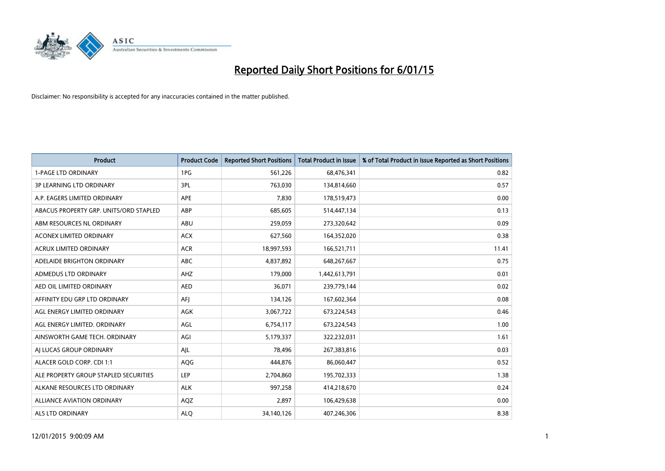

| <b>Product</b>                         | <b>Product Code</b> | <b>Reported Short Positions</b> | <b>Total Product in Issue</b> | % of Total Product in Issue Reported as Short Positions |
|----------------------------------------|---------------------|---------------------------------|-------------------------------|---------------------------------------------------------|
| <b>1-PAGE LTD ORDINARY</b>             | 1PG                 | 561,226                         | 68,476,341                    | 0.82                                                    |
| 3P LEARNING LTD ORDINARY               | 3PL                 | 763,030                         | 134,814,660                   | 0.57                                                    |
| A.P. EAGERS LIMITED ORDINARY           | <b>APE</b>          | 7,830                           | 178,519,473                   | 0.00                                                    |
| ABACUS PROPERTY GRP. UNITS/ORD STAPLED | ABP                 | 685,605                         | 514,447,134                   | 0.13                                                    |
| ABM RESOURCES NL ORDINARY              | ABU                 | 259,059                         | 273,320,642                   | 0.09                                                    |
| <b>ACONEX LIMITED ORDINARY</b>         | <b>ACX</b>          | 627,560                         | 164,352,020                   | 0.38                                                    |
| <b>ACRUX LIMITED ORDINARY</b>          | <b>ACR</b>          | 18,997,593                      | 166,521,711                   | 11.41                                                   |
| ADELAIDE BRIGHTON ORDINARY             | <b>ABC</b>          | 4,837,892                       | 648,267,667                   | 0.75                                                    |
| ADMEDUS LTD ORDINARY                   | AHZ                 | 179,000                         | 1,442,613,791                 | 0.01                                                    |
| AED OIL LIMITED ORDINARY               | <b>AED</b>          | 36,071                          | 239,779,144                   | 0.02                                                    |
| AFFINITY EDU GRP LTD ORDINARY          | AFI                 | 134,126                         | 167,602,364                   | 0.08                                                    |
| AGL ENERGY LIMITED ORDINARY            | AGK                 | 3,067,722                       | 673,224,543                   | 0.46                                                    |
| AGL ENERGY LIMITED. ORDINARY           | AGL                 | 6,754,117                       | 673,224,543                   | 1.00                                                    |
| AINSWORTH GAME TECH. ORDINARY          | AGI                 | 5,179,337                       | 322,232,031                   | 1.61                                                    |
| AI LUCAS GROUP ORDINARY                | AJL                 | 78,496                          | 267,383,816                   | 0.03                                                    |
| ALACER GOLD CORP. CDI 1:1              | AQG                 | 444,876                         | 86,060,447                    | 0.52                                                    |
| ALE PROPERTY GROUP STAPLED SECURITIES  | LEP                 | 2,704,860                       | 195,702,333                   | 1.38                                                    |
| ALKANE RESOURCES LTD ORDINARY          | <b>ALK</b>          | 997,258                         | 414,218,670                   | 0.24                                                    |
| <b>ALLIANCE AVIATION ORDINARY</b>      | AQZ                 | 2,897                           | 106,429,638                   | 0.00                                                    |
| ALS LTD ORDINARY                       | <b>ALO</b>          | 34,140,126                      | 407,246,306                   | 8.38                                                    |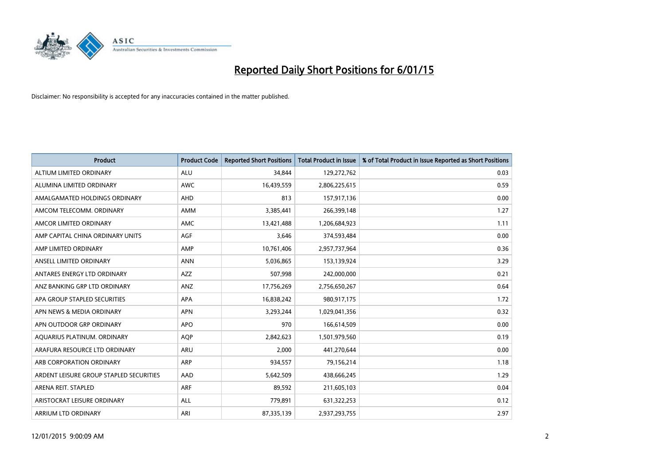

| <b>Product</b>                          | <b>Product Code</b> | <b>Reported Short Positions</b> | <b>Total Product in Issue</b> | % of Total Product in Issue Reported as Short Positions |
|-----------------------------------------|---------------------|---------------------------------|-------------------------------|---------------------------------------------------------|
| ALTIUM LIMITED ORDINARY                 | <b>ALU</b>          | 34,844                          | 129,272,762                   | 0.03                                                    |
| ALUMINA LIMITED ORDINARY                | AWC                 | 16,439,559                      | 2,806,225,615                 | 0.59                                                    |
| AMALGAMATED HOLDINGS ORDINARY           | AHD                 | 813                             | 157,917,136                   | 0.00                                                    |
| AMCOM TELECOMM, ORDINARY                | AMM                 | 3,385,441                       | 266,399,148                   | 1.27                                                    |
| AMCOR LIMITED ORDINARY                  | <b>AMC</b>          | 13,421,488                      | 1,206,684,923                 | 1.11                                                    |
| AMP CAPITAL CHINA ORDINARY UNITS        | AGF                 | 3,646                           | 374,593,484                   | 0.00                                                    |
| AMP LIMITED ORDINARY                    | AMP                 | 10,761,406                      | 2,957,737,964                 | 0.36                                                    |
| ANSELL LIMITED ORDINARY                 | <b>ANN</b>          | 5,036,865                       | 153,139,924                   | 3.29                                                    |
| ANTARES ENERGY LTD ORDINARY             | <b>AZZ</b>          | 507,998                         | 242,000,000                   | 0.21                                                    |
| ANZ BANKING GRP LTD ORDINARY            | ANZ                 | 17,756,269                      | 2,756,650,267                 | 0.64                                                    |
| APA GROUP STAPLED SECURITIES            | APA                 | 16,838,242                      | 980,917,175                   | 1.72                                                    |
| APN NEWS & MEDIA ORDINARY               | <b>APN</b>          | 3,293,244                       | 1,029,041,356                 | 0.32                                                    |
| APN OUTDOOR GRP ORDINARY                | <b>APO</b>          | 970                             | 166,614,509                   | 0.00                                                    |
| AQUARIUS PLATINUM. ORDINARY             | <b>AOP</b>          | 2,842,623                       | 1,501,979,560                 | 0.19                                                    |
| ARAFURA RESOURCE LTD ORDINARY           | ARU                 | 2,000                           | 441,270,644                   | 0.00                                                    |
| ARB CORPORATION ORDINARY                | ARP                 | 934,557                         | 79,156,214                    | 1.18                                                    |
| ARDENT LEISURE GROUP STAPLED SECURITIES | AAD                 | 5,642,509                       | 438,666,245                   | 1.29                                                    |
| ARENA REIT. STAPLED                     | <b>ARF</b>          | 89,592                          | 211,605,103                   | 0.04                                                    |
| ARISTOCRAT LEISURE ORDINARY             | <b>ALL</b>          | 779,891                         | 631,322,253                   | 0.12                                                    |
| ARRIUM LTD ORDINARY                     | ARI                 | 87,335,139                      | 2,937,293,755                 | 2.97                                                    |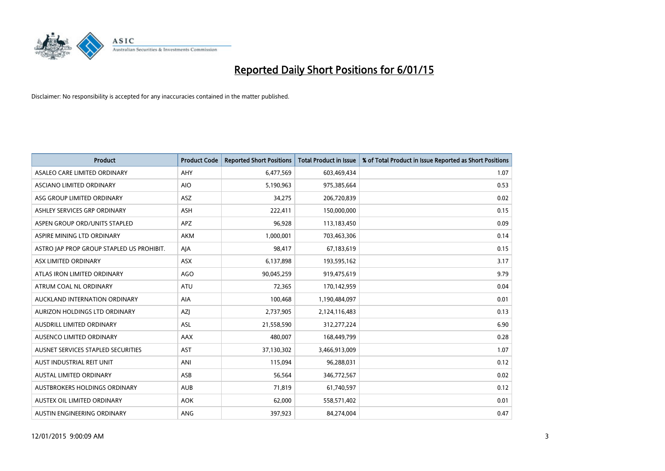

| <b>Product</b>                            | <b>Product Code</b> | <b>Reported Short Positions</b> | <b>Total Product in Issue</b> | % of Total Product in Issue Reported as Short Positions |
|-------------------------------------------|---------------------|---------------------------------|-------------------------------|---------------------------------------------------------|
| ASALEO CARE LIMITED ORDINARY              | AHY                 | 6,477,569                       | 603,469,434                   | 1.07                                                    |
| ASCIANO LIMITED ORDINARY                  | <b>AIO</b>          | 5,190,963                       | 975,385,664                   | 0.53                                                    |
| ASG GROUP LIMITED ORDINARY                | ASZ                 | 34,275                          | 206,720,839                   | 0.02                                                    |
| ASHLEY SERVICES GRP ORDINARY              | <b>ASH</b>          | 222,411                         | 150,000,000                   | 0.15                                                    |
| ASPEN GROUP ORD/UNITS STAPLED             | <b>APZ</b>          | 96,928                          | 113,183,450                   | 0.09                                                    |
| ASPIRE MINING LTD ORDINARY                | AKM                 | 1,000,001                       | 703,463,306                   | 0.14                                                    |
| ASTRO JAP PROP GROUP STAPLED US PROHIBIT. | AJA                 | 98,417                          | 67,183,619                    | 0.15                                                    |
| ASX LIMITED ORDINARY                      | ASX                 | 6,137,898                       | 193,595,162                   | 3.17                                                    |
| ATLAS IRON LIMITED ORDINARY               | AGO                 | 90,045,259                      | 919,475,619                   | 9.79                                                    |
| ATRUM COAL NL ORDINARY                    | <b>ATU</b>          | 72,365                          | 170,142,959                   | 0.04                                                    |
| AUCKLAND INTERNATION ORDINARY             | AIA                 | 100,468                         | 1,190,484,097                 | 0.01                                                    |
| AURIZON HOLDINGS LTD ORDINARY             | AZJ                 | 2,737,905                       | 2,124,116,483                 | 0.13                                                    |
| AUSDRILL LIMITED ORDINARY                 | ASL                 | 21,558,590                      | 312,277,224                   | 6.90                                                    |
| AUSENCO LIMITED ORDINARY                  | AAX                 | 480,007                         | 168,449,799                   | 0.28                                                    |
| AUSNET SERVICES STAPLED SECURITIES        | <b>AST</b>          | 37,130,302                      | 3,466,913,009                 | 1.07                                                    |
| AUST INDUSTRIAL REIT UNIT                 | ANI                 | 115,094                         | 96,288,031                    | 0.12                                                    |
| AUSTAL LIMITED ORDINARY                   | ASB                 | 56,564                          | 346,772,567                   | 0.02                                                    |
| AUSTBROKERS HOLDINGS ORDINARY             | <b>AUB</b>          | 71,819                          | 61,740,597                    | 0.12                                                    |
| AUSTEX OIL LIMITED ORDINARY               | <b>AOK</b>          | 62,000                          | 558,571,402                   | 0.01                                                    |
| AUSTIN ENGINEERING ORDINARY               | <b>ANG</b>          | 397,923                         | 84,274,004                    | 0.47                                                    |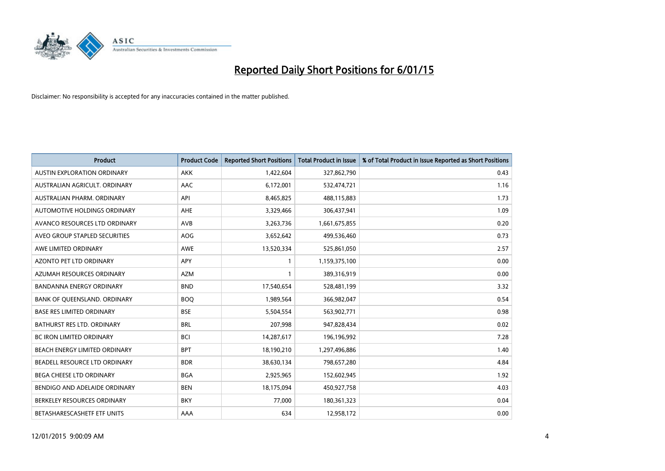

| <b>Product</b>                     | <b>Product Code</b> | <b>Reported Short Positions</b> | <b>Total Product in Issue</b> | % of Total Product in Issue Reported as Short Positions |
|------------------------------------|---------------------|---------------------------------|-------------------------------|---------------------------------------------------------|
| <b>AUSTIN EXPLORATION ORDINARY</b> | <b>AKK</b>          | 1,422,604                       | 327,862,790                   | 0.43                                                    |
| AUSTRALIAN AGRICULT, ORDINARY      | AAC                 | 6,172,001                       | 532,474,721                   | 1.16                                                    |
| AUSTRALIAN PHARM. ORDINARY         | API                 | 8,465,825                       | 488,115,883                   | 1.73                                                    |
| AUTOMOTIVE HOLDINGS ORDINARY       | AHE                 | 3,329,466                       | 306,437,941                   | 1.09                                                    |
| AVANCO RESOURCES LTD ORDINARY      | AVB                 | 3,263,736                       | 1,661,675,855                 | 0.20                                                    |
| AVEO GROUP STAPLED SECURITIES      | AOG                 | 3,652,642                       | 499,536,460                   | 0.73                                                    |
| AWE LIMITED ORDINARY               | <b>AWE</b>          | 13,520,334                      | 525,861,050                   | 2.57                                                    |
| AZONTO PET LTD ORDINARY            | APY                 | 1                               | 1,159,375,100                 | 0.00                                                    |
| AZUMAH RESOURCES ORDINARY          | <b>AZM</b>          | $\mathbf{1}$                    | 389,316,919                   | 0.00                                                    |
| <b>BANDANNA ENERGY ORDINARY</b>    | <b>BND</b>          | 17,540,654                      | 528,481,199                   | 3.32                                                    |
| BANK OF QUEENSLAND. ORDINARY       | <b>BOQ</b>          | 1,989,564                       | 366,982,047                   | 0.54                                                    |
| <b>BASE RES LIMITED ORDINARY</b>   | <b>BSE</b>          | 5,504,554                       | 563,902,771                   | 0.98                                                    |
| BATHURST RES LTD. ORDINARY         | <b>BRL</b>          | 207,998                         | 947,828,434                   | 0.02                                                    |
| <b>BC IRON LIMITED ORDINARY</b>    | <b>BCI</b>          | 14,287,617                      | 196,196,992                   | 7.28                                                    |
| BEACH ENERGY LIMITED ORDINARY      | <b>BPT</b>          | 18,190,210                      | 1,297,496,886                 | 1.40                                                    |
| BEADELL RESOURCE LTD ORDINARY      | <b>BDR</b>          | 38,630,134                      | 798,657,280                   | 4.84                                                    |
| <b>BEGA CHEESE LTD ORDINARY</b>    | <b>BGA</b>          | 2,925,965                       | 152,602,945                   | 1.92                                                    |
| BENDIGO AND ADELAIDE ORDINARY      | <b>BEN</b>          | 18,175,094                      | 450,927,758                   | 4.03                                                    |
| BERKELEY RESOURCES ORDINARY        | <b>BKY</b>          | 77,000                          | 180,361,323                   | 0.04                                                    |
| BETASHARESCASHETF ETF UNITS        | AAA                 | 634                             | 12,958,172                    | 0.00                                                    |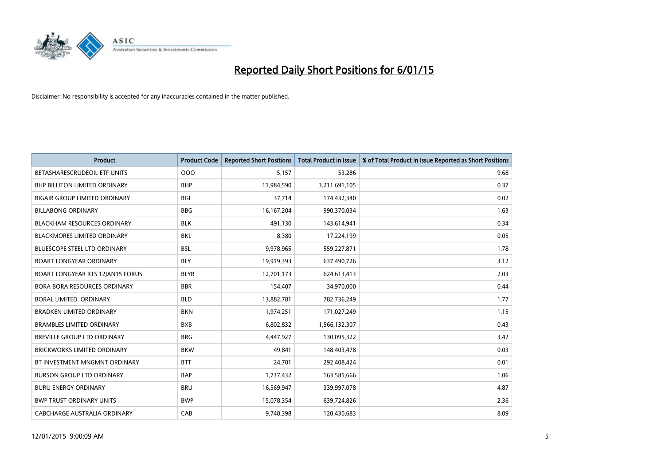

| <b>Product</b>                       | <b>Product Code</b> | <b>Reported Short Positions</b> | <b>Total Product in Issue</b> | % of Total Product in Issue Reported as Short Positions |
|--------------------------------------|---------------------|---------------------------------|-------------------------------|---------------------------------------------------------|
| BETASHARESCRUDEOIL ETF UNITS         | 000                 | 5,157                           | 53,286                        | 9.68                                                    |
| BHP BILLITON LIMITED ORDINARY        | <b>BHP</b>          | 11,984,590                      | 3,211,691,105                 | 0.37                                                    |
| <b>BIGAIR GROUP LIMITED ORDINARY</b> | <b>BGL</b>          | 37,714                          | 174,432,340                   | 0.02                                                    |
| <b>BILLABONG ORDINARY</b>            | <b>BBG</b>          | 16, 167, 204                    | 990,370,034                   | 1.63                                                    |
| <b>BLACKHAM RESOURCES ORDINARY</b>   | <b>BLK</b>          | 491,130                         | 143,614,941                   | 0.34                                                    |
| <b>BLACKMORES LIMITED ORDINARY</b>   | <b>BKL</b>          | 8,380                           | 17,224,199                    | 0.05                                                    |
| <b>BLUESCOPE STEEL LTD ORDINARY</b>  | <b>BSL</b>          | 9,978,965                       | 559,227,871                   | 1.78                                                    |
| <b>BOART LONGYEAR ORDINARY</b>       | <b>BLY</b>          | 19,919,393                      | 637,490,726                   | 3.12                                                    |
| BOART LONGYEAR RTS 12JAN15 FORUS     | <b>BLYR</b>         | 12,701,173                      | 624,613,413                   | 2.03                                                    |
| <b>BORA BORA RESOURCES ORDINARY</b>  | <b>BBR</b>          | 154,407                         | 34,970,000                    | 0.44                                                    |
| <b>BORAL LIMITED, ORDINARY</b>       | <b>BLD</b>          | 13,882,781                      | 782,736,249                   | 1.77                                                    |
| <b>BRADKEN LIMITED ORDINARY</b>      | <b>BKN</b>          | 1,974,251                       | 171,027,249                   | 1.15                                                    |
| <b>BRAMBLES LIMITED ORDINARY</b>     | <b>BXB</b>          | 6,802,832                       | 1,566,132,307                 | 0.43                                                    |
| <b>BREVILLE GROUP LTD ORDINARY</b>   | <b>BRG</b>          | 4,447,927                       | 130,095,322                   | 3.42                                                    |
| <b>BRICKWORKS LIMITED ORDINARY</b>   | <b>BKW</b>          | 49,841                          | 148,403,478                   | 0.03                                                    |
| BT INVESTMENT MNGMNT ORDINARY        | <b>BTT</b>          | 24,701                          | 292,408,424                   | 0.01                                                    |
| <b>BURSON GROUP LTD ORDINARY</b>     | <b>BAP</b>          | 1,737,432                       | 163,585,666                   | 1.06                                                    |
| <b>BURU ENERGY ORDINARY</b>          | <b>BRU</b>          | 16,569,947                      | 339,997,078                   | 4.87                                                    |
| <b>BWP TRUST ORDINARY UNITS</b>      | <b>BWP</b>          | 15,078,354                      | 639,724,826                   | 2.36                                                    |
| CABCHARGE AUSTRALIA ORDINARY         | CAB                 | 9,748,398                       | 120,430,683                   | 8.09                                                    |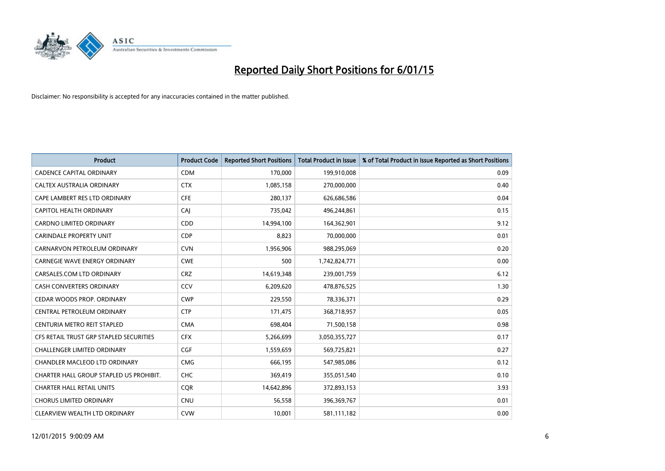

| <b>Product</b>                          | <b>Product Code</b> | <b>Reported Short Positions</b> | <b>Total Product in Issue</b> | % of Total Product in Issue Reported as Short Positions |
|-----------------------------------------|---------------------|---------------------------------|-------------------------------|---------------------------------------------------------|
| <b>CADENCE CAPITAL ORDINARY</b>         | <b>CDM</b>          | 170,000                         | 199,910,008                   | 0.09                                                    |
| CALTEX AUSTRALIA ORDINARY               | <b>CTX</b>          | 1,085,158                       | 270,000,000                   | 0.40                                                    |
| CAPE LAMBERT RES LTD ORDINARY           | <b>CFE</b>          | 280,137                         | 626,686,586                   | 0.04                                                    |
| <b>CAPITOL HEALTH ORDINARY</b>          | CAI                 | 735,042                         | 496,244,861                   | 0.15                                                    |
| <b>CARDNO LIMITED ORDINARY</b>          | CDD                 | 14,994,100                      | 164,362,901                   | 9.12                                                    |
| <b>CARINDALE PROPERTY UNIT</b>          | <b>CDP</b>          | 8,823                           | 70,000,000                    | 0.01                                                    |
| CARNARVON PETROLEUM ORDINARY            | <b>CVN</b>          | 1,956,906                       | 988,295,069                   | 0.20                                                    |
| <b>CARNEGIE WAVE ENERGY ORDINARY</b>    | <b>CWE</b>          | 500                             | 1,742,824,771                 | 0.00                                                    |
| CARSALES.COM LTD ORDINARY               | <b>CRZ</b>          | 14,619,348                      | 239,001,759                   | 6.12                                                    |
| <b>CASH CONVERTERS ORDINARY</b>         | CCV                 | 6,209,620                       | 478,876,525                   | 1.30                                                    |
| CEDAR WOODS PROP. ORDINARY              | <b>CWP</b>          | 229,550                         | 78,336,371                    | 0.29                                                    |
| CENTRAL PETROLEUM ORDINARY              | <b>CTP</b>          | 171,475                         | 368,718,957                   | 0.05                                                    |
| CENTURIA METRO REIT STAPLED             | <b>CMA</b>          | 698,404                         | 71,500,158                    | 0.98                                                    |
| CFS RETAIL TRUST GRP STAPLED SECURITIES | <b>CFX</b>          | 5,266,699                       | 3,050,355,727                 | 0.17                                                    |
| <b>CHALLENGER LIMITED ORDINARY</b>      | <b>CGF</b>          | 1,559,659                       | 569,725,821                   | 0.27                                                    |
| CHANDLER MACLEOD LTD ORDINARY           | <b>CMG</b>          | 666,195                         | 547,985,086                   | 0.12                                                    |
| CHARTER HALL GROUP STAPLED US PROHIBIT. | <b>CHC</b>          | 369,419                         | 355,051,540                   | 0.10                                                    |
| <b>CHARTER HALL RETAIL UNITS</b>        | <b>CQR</b>          | 14,642,896                      | 372,893,153                   | 3.93                                                    |
| <b>CHORUS LIMITED ORDINARY</b>          | <b>CNU</b>          | 56,558                          | 396,369,767                   | 0.01                                                    |
| CLEARVIEW WEALTH LTD ORDINARY           | <b>CVW</b>          | 10,001                          | 581,111,182                   | 0.00                                                    |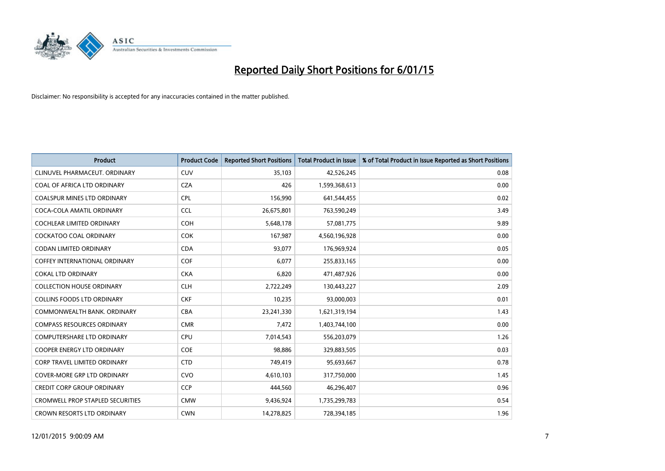

| <b>Product</b>                          | <b>Product Code</b> | <b>Reported Short Positions</b> | <b>Total Product in Issue</b> | % of Total Product in Issue Reported as Short Positions |
|-----------------------------------------|---------------------|---------------------------------|-------------------------------|---------------------------------------------------------|
| CLINUVEL PHARMACEUT, ORDINARY           | <b>CUV</b>          | 35,103                          | 42,526,245                    | 0.08                                                    |
| COAL OF AFRICA LTD ORDINARY             | <b>CZA</b>          | 426                             | 1,599,368,613                 | 0.00                                                    |
| <b>COALSPUR MINES LTD ORDINARY</b>      | <b>CPL</b>          | 156,990                         | 641,544,455                   | 0.02                                                    |
| COCA-COLA AMATIL ORDINARY               | <b>CCL</b>          | 26,675,801                      | 763,590,249                   | 3.49                                                    |
| <b>COCHLEAR LIMITED ORDINARY</b>        | <b>COH</b>          | 5,648,178                       | 57,081,775                    | 9.89                                                    |
| <b>COCKATOO COAL ORDINARY</b>           | COK                 | 167,987                         | 4,560,196,928                 | 0.00                                                    |
| <b>CODAN LIMITED ORDINARY</b>           | <b>CDA</b>          | 93,077                          | 176,969,924                   | 0.05                                                    |
| <b>COFFEY INTERNATIONAL ORDINARY</b>    | <b>COF</b>          | 6,077                           | 255,833,165                   | 0.00                                                    |
| <b>COKAL LTD ORDINARY</b>               | <b>CKA</b>          | 6,820                           | 471,487,926                   | 0.00                                                    |
| <b>COLLECTION HOUSE ORDINARY</b>        | <b>CLH</b>          | 2,722,249                       | 130,443,227                   | 2.09                                                    |
| <b>COLLINS FOODS LTD ORDINARY</b>       | <b>CKF</b>          | 10,235                          | 93,000,003                    | 0.01                                                    |
| COMMONWEALTH BANK, ORDINARY             | <b>CBA</b>          | 23,241,330                      | 1,621,319,194                 | 1.43                                                    |
| <b>COMPASS RESOURCES ORDINARY</b>       | <b>CMR</b>          | 7,472                           | 1,403,744,100                 | 0.00                                                    |
| <b>COMPUTERSHARE LTD ORDINARY</b>       | <b>CPU</b>          | 7,014,543                       | 556,203,079                   | 1.26                                                    |
| <b>COOPER ENERGY LTD ORDINARY</b>       | <b>COE</b>          | 98,886                          | 329,883,505                   | 0.03                                                    |
| <b>CORP TRAVEL LIMITED ORDINARY</b>     | <b>CTD</b>          | 749,419                         | 95,693,667                    | 0.78                                                    |
| COVER-MORE GRP LTD ORDINARY             | <b>CVO</b>          | 4,610,103                       | 317,750,000                   | 1.45                                                    |
| <b>CREDIT CORP GROUP ORDINARY</b>       | <b>CCP</b>          | 444,560                         | 46,296,407                    | 0.96                                                    |
| <b>CROMWELL PROP STAPLED SECURITIES</b> | <b>CMW</b>          | 9,436,924                       | 1,735,299,783                 | 0.54                                                    |
| CROWN RESORTS LTD ORDINARY              | <b>CWN</b>          | 14,278,825                      | 728,394,185                   | 1.96                                                    |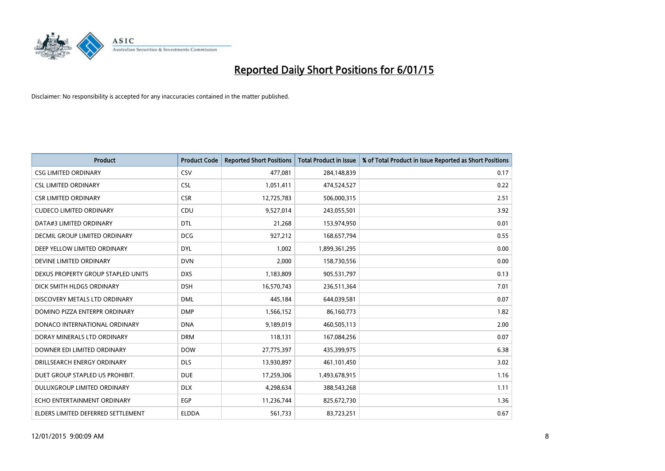

| <b>Product</b>                       | <b>Product Code</b> | <b>Reported Short Positions</b> | <b>Total Product in Issue</b> | % of Total Product in Issue Reported as Short Positions |
|--------------------------------------|---------------------|---------------------------------|-------------------------------|---------------------------------------------------------|
| <b>CSG LIMITED ORDINARY</b>          | CSV                 | 477,081                         | 284,148,839                   | 0.17                                                    |
| <b>CSL LIMITED ORDINARY</b>          | <b>CSL</b>          | 1,051,411                       | 474,524,527                   | 0.22                                                    |
| <b>CSR LIMITED ORDINARY</b>          | <b>CSR</b>          | 12,725,783                      | 506,000,315                   | 2.51                                                    |
| <b>CUDECO LIMITED ORDINARY</b>       | CDU                 | 9,527,014                       | 243,055,501                   | 3.92                                                    |
| DATA#3 LIMITED ORDINARY              | <b>DTL</b>          | 21,268                          | 153,974,950                   | 0.01                                                    |
| <b>DECMIL GROUP LIMITED ORDINARY</b> | <b>DCG</b>          | 927,212                         | 168,657,794                   | 0.55                                                    |
| DEEP YELLOW LIMITED ORDINARY         | <b>DYL</b>          | 1,002                           | 1,899,361,295                 | 0.00                                                    |
| DEVINE LIMITED ORDINARY              | <b>DVN</b>          | 2,000                           | 158,730,556                   | 0.00                                                    |
| DEXUS PROPERTY GROUP STAPLED UNITS   | <b>DXS</b>          | 1,183,809                       | 905,531,797                   | 0.13                                                    |
| DICK SMITH HLDGS ORDINARY            | <b>DSH</b>          | 16,570,743                      | 236,511,364                   | 7.01                                                    |
| DISCOVERY METALS LTD ORDINARY        | <b>DML</b>          | 445,184                         | 644,039,581                   | 0.07                                                    |
| DOMINO PIZZA ENTERPR ORDINARY        | <b>DMP</b>          | 1,566,152                       | 86,160,773                    | 1.82                                                    |
| DONACO INTERNATIONAL ORDINARY        | <b>DNA</b>          | 9,189,019                       | 460,505,113                   | 2.00                                                    |
| DORAY MINERALS LTD ORDINARY          | <b>DRM</b>          | 118,131                         | 167,084,256                   | 0.07                                                    |
| DOWNER EDI LIMITED ORDINARY          | <b>DOW</b>          | 27,775,397                      | 435,399,975                   | 6.38                                                    |
| DRILLSEARCH ENERGY ORDINARY          | <b>DLS</b>          | 13,930,897                      | 461,101,450                   | 3.02                                                    |
| DUET GROUP STAPLED US PROHIBIT.      | <b>DUE</b>          | 17,259,306                      | 1,493,678,915                 | 1.16                                                    |
| DULUXGROUP LIMITED ORDINARY          | <b>DLX</b>          | 4,298,634                       | 388,543,268                   | 1.11                                                    |
| ECHO ENTERTAINMENT ORDINARY          | <b>EGP</b>          | 11,236,744                      | 825,672,730                   | 1.36                                                    |
| ELDERS LIMITED DEFERRED SETTLEMENT   | <b>ELDDA</b>        | 561,733                         | 83,723,251                    | 0.67                                                    |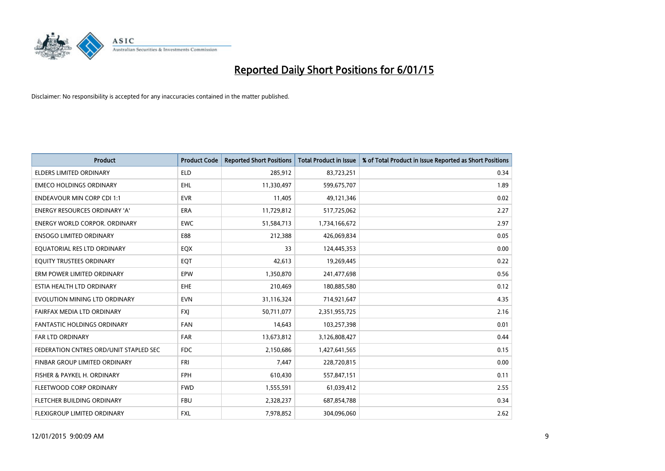

| <b>Product</b>                         | <b>Product Code</b> | <b>Reported Short Positions</b> | <b>Total Product in Issue</b> | % of Total Product in Issue Reported as Short Positions |
|----------------------------------------|---------------------|---------------------------------|-------------------------------|---------------------------------------------------------|
| <b>ELDERS LIMITED ORDINARY</b>         | <b>ELD</b>          | 285,912                         | 83,723,251                    | 0.34                                                    |
| <b>EMECO HOLDINGS ORDINARY</b>         | <b>EHL</b>          | 11,330,497                      | 599,675,707                   | 1.89                                                    |
| <b>ENDEAVOUR MIN CORP CDI 1:1</b>      | <b>EVR</b>          | 11,405                          | 49,121,346                    | 0.02                                                    |
| ENERGY RESOURCES ORDINARY 'A'          | <b>ERA</b>          | 11,729,812                      | 517,725,062                   | 2.27                                                    |
| <b>ENERGY WORLD CORPOR, ORDINARY</b>   | <b>EWC</b>          | 51,584,713                      | 1,734,166,672                 | 2.97                                                    |
| <b>ENSOGO LIMITED ORDINARY</b>         | E88                 | 212,388                         | 426,069,834                   | 0.05                                                    |
| EQUATORIAL RES LTD ORDINARY            | EQX                 | 33                              | 124,445,353                   | 0.00                                                    |
| EQUITY TRUSTEES ORDINARY               | EQT                 | 42,613                          | 19,269,445                    | 0.22                                                    |
| ERM POWER LIMITED ORDINARY             | EPW                 | 1,350,870                       | 241,477,698                   | 0.56                                                    |
| ESTIA HEALTH LTD ORDINARY              | <b>EHE</b>          | 210,469                         | 180,885,580                   | 0.12                                                    |
| EVOLUTION MINING LTD ORDINARY          | <b>EVN</b>          | 31,116,324                      | 714,921,647                   | 4.35                                                    |
| FAIRFAX MEDIA LTD ORDINARY             | FXJ                 | 50,711,077                      | 2,351,955,725                 | 2.16                                                    |
| FANTASTIC HOLDINGS ORDINARY            | <b>FAN</b>          | 14,643                          | 103,257,398                   | 0.01                                                    |
| <b>FAR LTD ORDINARY</b>                | FAR                 | 13,673,812                      | 3,126,808,427                 | 0.44                                                    |
| FEDERATION CNTRES ORD/UNIT STAPLED SEC | <b>FDC</b>          | 2,150,686                       | 1,427,641,565                 | 0.15                                                    |
| FINBAR GROUP LIMITED ORDINARY          | <b>FRI</b>          | 7,447                           | 228,720,815                   | 0.00                                                    |
| FISHER & PAYKEL H. ORDINARY            | FPH                 | 610,430                         | 557,847,151                   | 0.11                                                    |
| FLEETWOOD CORP ORDINARY                | <b>FWD</b>          | 1,555,591                       | 61,039,412                    | 2.55                                                    |
| FLETCHER BUILDING ORDINARY             | <b>FBU</b>          | 2,328,237                       | 687,854,788                   | 0.34                                                    |
| FLEXIGROUP LIMITED ORDINARY            | FXL                 | 7,978,852                       | 304,096,060                   | 2.62                                                    |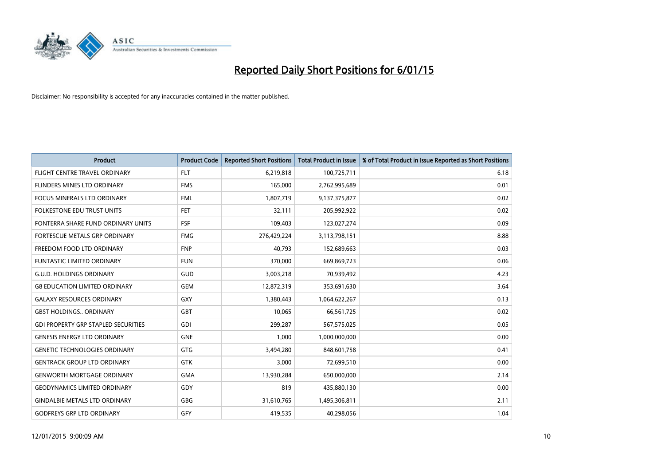

| <b>Product</b>                             | <b>Product Code</b> | <b>Reported Short Positions</b> | <b>Total Product in Issue</b> | % of Total Product in Issue Reported as Short Positions |
|--------------------------------------------|---------------------|---------------------------------|-------------------------------|---------------------------------------------------------|
| FLIGHT CENTRE TRAVEL ORDINARY              | <b>FLT</b>          | 6,219,818                       | 100,725,711                   | 6.18                                                    |
| <b>FLINDERS MINES LTD ORDINARY</b>         | <b>FMS</b>          | 165,000                         | 2,762,995,689                 | 0.01                                                    |
| <b>FOCUS MINERALS LTD ORDINARY</b>         | <b>FML</b>          | 1,807,719                       | 9,137,375,877                 | 0.02                                                    |
| <b>FOLKESTONE EDU TRUST UNITS</b>          | <b>FET</b>          | 32.111                          | 205,992,922                   | 0.02                                                    |
| FONTERRA SHARE FUND ORDINARY UNITS         | FSF                 | 109,403                         | 123,027,274                   | 0.09                                                    |
| FORTESCUE METALS GRP ORDINARY              | <b>FMG</b>          | 276,429,224                     | 3,113,798,151                 | 8.88                                                    |
| FREEDOM FOOD LTD ORDINARY                  | <b>FNP</b>          | 40.793                          | 152,689,663                   | 0.03                                                    |
| <b>FUNTASTIC LIMITED ORDINARY</b>          | <b>FUN</b>          | 370,000                         | 669,869,723                   | 0.06                                                    |
| <b>G.U.D. HOLDINGS ORDINARY</b>            | GUD                 | 3,003,218                       | 70,939,492                    | 4.23                                                    |
| <b>G8 EDUCATION LIMITED ORDINARY</b>       | <b>GEM</b>          | 12,872,319                      | 353,691,630                   | 3.64                                                    |
| <b>GALAXY RESOURCES ORDINARY</b>           | GXY                 | 1,380,443                       | 1,064,622,267                 | 0.13                                                    |
| <b>GBST HOLDINGS., ORDINARY</b>            | <b>GBT</b>          | 10,065                          | 66,561,725                    | 0.02                                                    |
| <b>GDI PROPERTY GRP STAPLED SECURITIES</b> | <b>GDI</b>          | 299,287                         | 567,575,025                   | 0.05                                                    |
| <b>GENESIS ENERGY LTD ORDINARY</b>         | <b>GNE</b>          | 1,000                           | 1,000,000,000                 | 0.00                                                    |
| <b>GENETIC TECHNOLOGIES ORDINARY</b>       | <b>GTG</b>          | 3,494,280                       | 848,601,758                   | 0.41                                                    |
| <b>GENTRACK GROUP LTD ORDINARY</b>         | <b>GTK</b>          | 3,000                           | 72,699,510                    | 0.00                                                    |
| <b>GENWORTH MORTGAGE ORDINARY</b>          | <b>GMA</b>          | 13,930,284                      | 650,000,000                   | 2.14                                                    |
| <b>GEODYNAMICS LIMITED ORDINARY</b>        | GDY                 | 819                             | 435,880,130                   | 0.00                                                    |
| <b>GINDALBIE METALS LTD ORDINARY</b>       | GBG                 | 31,610,765                      | 1,495,306,811                 | 2.11                                                    |
| <b>GODFREYS GRP LTD ORDINARY</b>           | GFY                 | 419,535                         | 40,298,056                    | 1.04                                                    |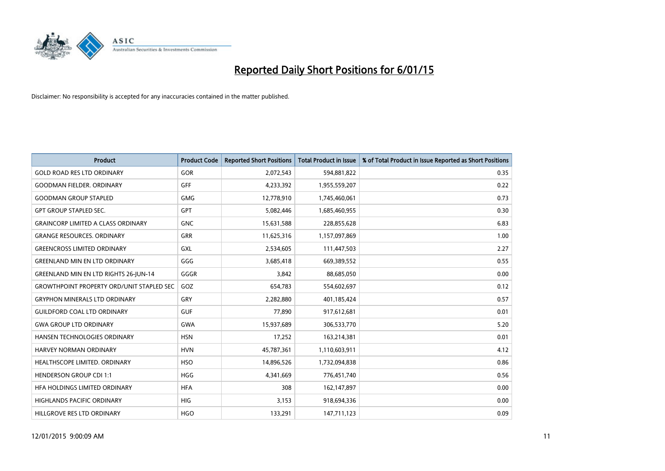

| <b>Product</b>                                   | <b>Product Code</b> | <b>Reported Short Positions</b> | <b>Total Product in Issue</b> | % of Total Product in Issue Reported as Short Positions |
|--------------------------------------------------|---------------------|---------------------------------|-------------------------------|---------------------------------------------------------|
| <b>GOLD ROAD RES LTD ORDINARY</b>                | GOR                 | 2,072,543                       | 594,881,822                   | 0.35                                                    |
| <b>GOODMAN FIELDER, ORDINARY</b>                 | GFF                 | 4,233,392                       | 1,955,559,207                 | 0.22                                                    |
| <b>GOODMAN GROUP STAPLED</b>                     | <b>GMG</b>          | 12,778,910                      | 1,745,460,061                 | 0.73                                                    |
| <b>GPT GROUP STAPLED SEC.</b>                    | <b>GPT</b>          | 5,082,446                       | 1,685,460,955                 | 0.30                                                    |
| <b>GRAINCORP LIMITED A CLASS ORDINARY</b>        | <b>GNC</b>          | 15,631,588                      | 228,855,628                   | 6.83                                                    |
| <b>GRANGE RESOURCES. ORDINARY</b>                | GRR                 | 11,625,316                      | 1,157,097,869                 | 1.00                                                    |
| <b>GREENCROSS LIMITED ORDINARY</b>               | GXL                 | 2,534,605                       | 111,447,503                   | 2.27                                                    |
| <b>GREENLAND MIN EN LTD ORDINARY</b>             | GGG                 | 3,685,418                       | 669,389,552                   | 0.55                                                    |
| <b>GREENLAND MIN EN LTD RIGHTS 26-JUN-14</b>     | GGGR                | 3,842                           | 88,685,050                    | 0.00                                                    |
| <b>GROWTHPOINT PROPERTY ORD/UNIT STAPLED SEC</b> | GOZ                 | 654,783                         | 554,602,697                   | 0.12                                                    |
| <b>GRYPHON MINERALS LTD ORDINARY</b>             | GRY                 | 2,282,880                       | 401,185,424                   | 0.57                                                    |
| <b>GUILDFORD COAL LTD ORDINARY</b>               | <b>GUF</b>          | 77,890                          | 917,612,681                   | 0.01                                                    |
| <b>GWA GROUP LTD ORDINARY</b>                    | <b>GWA</b>          | 15,937,689                      | 306,533,770                   | 5.20                                                    |
| HANSEN TECHNOLOGIES ORDINARY                     | <b>HSN</b>          | 17,252                          | 163,214,381                   | 0.01                                                    |
| <b>HARVEY NORMAN ORDINARY</b>                    | <b>HVN</b>          | 45,787,361                      | 1,110,603,911                 | 4.12                                                    |
| HEALTHSCOPE LIMITED. ORDINARY                    | <b>HSO</b>          | 14,896,526                      | 1,732,094,838                 | 0.86                                                    |
| <b>HENDERSON GROUP CDI 1:1</b>                   | <b>HGG</b>          | 4,341,669                       | 776,451,740                   | 0.56                                                    |
| HFA HOLDINGS LIMITED ORDINARY                    | <b>HFA</b>          | 308                             | 162,147,897                   | 0.00                                                    |
| <b>HIGHLANDS PACIFIC ORDINARY</b>                | <b>HIG</b>          | 3,153                           | 918,694,336                   | 0.00                                                    |
| HILLGROVE RES LTD ORDINARY                       | <b>HGO</b>          | 133,291                         | 147,711,123                   | 0.09                                                    |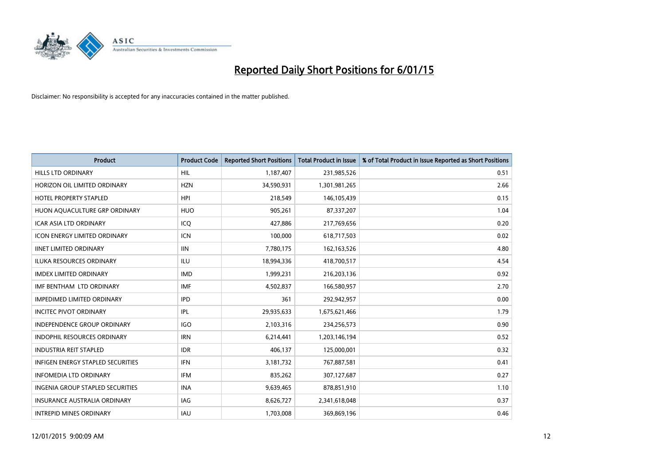

| <b>Product</b>                           | <b>Product Code</b> | <b>Reported Short Positions</b> | <b>Total Product in Issue</b> | % of Total Product in Issue Reported as Short Positions |
|------------------------------------------|---------------------|---------------------------------|-------------------------------|---------------------------------------------------------|
| <b>HILLS LTD ORDINARY</b>                | HIL                 | 1,187,407                       | 231,985,526                   | 0.51                                                    |
| HORIZON OIL LIMITED ORDINARY             | <b>HZN</b>          | 34,590,931                      | 1,301,981,265                 | 2.66                                                    |
| <b>HOTEL PROPERTY STAPLED</b>            | <b>HPI</b>          | 218,549                         | 146,105,439                   | 0.15                                                    |
| HUON AQUACULTURE GRP ORDINARY            | <b>HUO</b>          | 905,261                         | 87,337,207                    | 1.04                                                    |
| <b>ICAR ASIA LTD ORDINARY</b>            | ICQ                 | 427,886                         | 217,769,656                   | 0.20                                                    |
| <b>ICON ENERGY LIMITED ORDINARY</b>      | <b>ICN</b>          | 100,000                         | 618,717,503                   | 0.02                                                    |
| <b>IINET LIMITED ORDINARY</b>            | <b>IIN</b>          | 7,780,175                       | 162,163,526                   | 4.80                                                    |
| <b>ILUKA RESOURCES ORDINARY</b>          | ILU                 | 18,994,336                      | 418,700,517                   | 4.54                                                    |
| <b>IMDEX LIMITED ORDINARY</b>            | <b>IMD</b>          | 1,999,231                       | 216,203,136                   | 0.92                                                    |
| IMF BENTHAM LTD ORDINARY                 | <b>IMF</b>          | 4,502,837                       | 166,580,957                   | 2.70                                                    |
| <b>IMPEDIMED LIMITED ORDINARY</b>        | <b>IPD</b>          | 361                             | 292,942,957                   | 0.00                                                    |
| <b>INCITEC PIVOT ORDINARY</b>            | IPL                 | 29,935,633                      | 1,675,621,466                 | 1.79                                                    |
| <b>INDEPENDENCE GROUP ORDINARY</b>       | <b>IGO</b>          | 2,103,316                       | 234,256,573                   | 0.90                                                    |
| <b>INDOPHIL RESOURCES ORDINARY</b>       | <b>IRN</b>          | 6,214,441                       | 1,203,146,194                 | 0.52                                                    |
| <b>INDUSTRIA REIT STAPLED</b>            | <b>IDR</b>          | 406,137                         | 125,000,001                   | 0.32                                                    |
| <b>INFIGEN ENERGY STAPLED SECURITIES</b> | <b>IFN</b>          | 3,181,732                       | 767,887,581                   | 0.41                                                    |
| <b>INFOMEDIA LTD ORDINARY</b>            | IFM                 | 835,262                         | 307,127,687                   | 0.27                                                    |
| INGENIA GROUP STAPLED SECURITIES         | <b>INA</b>          | 9,639,465                       | 878,851,910                   | 1.10                                                    |
| <b>INSURANCE AUSTRALIA ORDINARY</b>      | IAG                 | 8,626,727                       | 2,341,618,048                 | 0.37                                                    |
| <b>INTREPID MINES ORDINARY</b>           | <b>IAU</b>          | 1,703,008                       | 369,869,196                   | 0.46                                                    |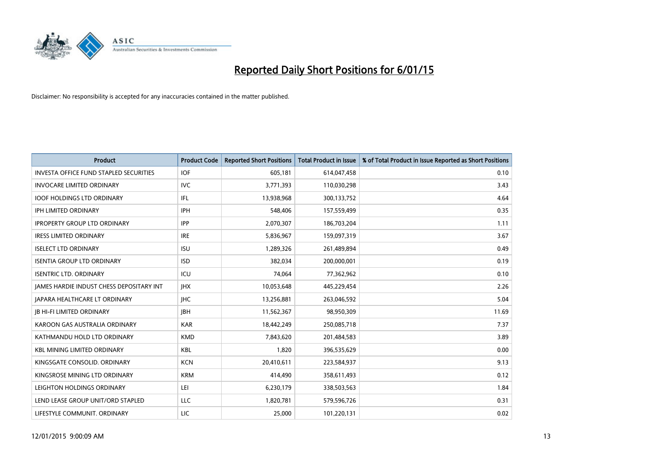

| <b>Product</b>                                  | <b>Product Code</b> | <b>Reported Short Positions</b> | <b>Total Product in Issue</b> | % of Total Product in Issue Reported as Short Positions |
|-------------------------------------------------|---------------------|---------------------------------|-------------------------------|---------------------------------------------------------|
| <b>INVESTA OFFICE FUND STAPLED SECURITIES</b>   | <b>IOF</b>          | 605,181                         | 614,047,458                   | 0.10                                                    |
| <b>INVOCARE LIMITED ORDINARY</b>                | <b>IVC</b>          | 3,771,393                       | 110,030,298                   | 3.43                                                    |
| <b>IOOF HOLDINGS LTD ORDINARY</b>               | IFL                 | 13,938,968                      | 300,133,752                   | 4.64                                                    |
| IPH LIMITED ORDINARY                            | <b>IPH</b>          | 548,406                         | 157,559,499                   | 0.35                                                    |
| <b>IPROPERTY GROUP LTD ORDINARY</b>             | <b>IPP</b>          | 2,070,307                       | 186,703,204                   | 1.11                                                    |
| <b>IRESS LIMITED ORDINARY</b>                   | <b>IRE</b>          | 5,836,967                       | 159,097,319                   | 3.67                                                    |
| <b>ISELECT LTD ORDINARY</b>                     | <b>ISU</b>          | 1,289,326                       | 261,489,894                   | 0.49                                                    |
| <b>ISENTIA GROUP LTD ORDINARY</b>               | <b>ISD</b>          | 382,034                         | 200,000,001                   | 0.19                                                    |
| <b>ISENTRIC LTD. ORDINARY</b>                   | ICU                 | 74,064                          | 77,362,962                    | 0.10                                                    |
| <b>JAMES HARDIE INDUST CHESS DEPOSITARY INT</b> | <b>IHX</b>          | 10,053,648                      | 445,229,454                   | 2.26                                                    |
| JAPARA HEALTHCARE LT ORDINARY                   | <b>IHC</b>          | 13,256,881                      | 263,046,592                   | 5.04                                                    |
| <b>IB HI-FI LIMITED ORDINARY</b>                | <b>IBH</b>          | 11,562,367                      | 98,950,309                    | 11.69                                                   |
| KAROON GAS AUSTRALIA ORDINARY                   | <b>KAR</b>          | 18,442,249                      | 250,085,718                   | 7.37                                                    |
| KATHMANDU HOLD LTD ORDINARY                     | <b>KMD</b>          | 7,843,620                       | 201,484,583                   | 3.89                                                    |
| <b>KBL MINING LIMITED ORDINARY</b>              | <b>KBL</b>          | 1,820                           | 396,535,629                   | 0.00                                                    |
| KINGSGATE CONSOLID. ORDINARY                    | <b>KCN</b>          | 20,410,611                      | 223,584,937                   | 9.13                                                    |
| KINGSROSE MINING LTD ORDINARY                   | <b>KRM</b>          | 414,490                         | 358,611,493                   | 0.12                                                    |
| LEIGHTON HOLDINGS ORDINARY                      | LEI                 | 6,230,179                       | 338,503,563                   | 1.84                                                    |
| LEND LEASE GROUP UNIT/ORD STAPLED               | LLC                 | 1,820,781                       | 579,596,726                   | 0.31                                                    |
| LIFESTYLE COMMUNIT. ORDINARY                    | LIC                 | 25,000                          | 101,220,131                   | 0.02                                                    |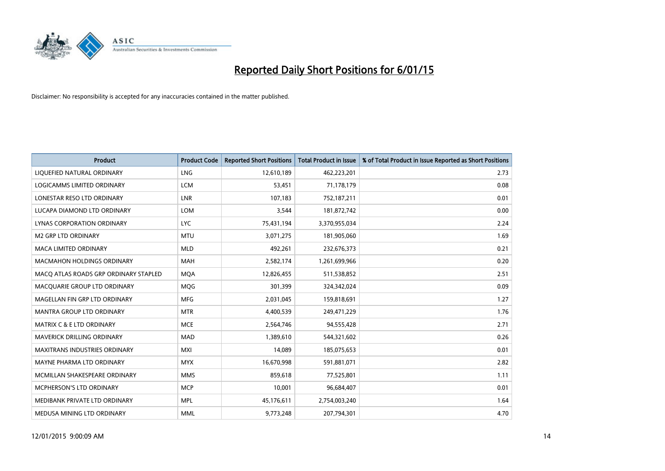

| <b>Product</b>                        | <b>Product Code</b> | <b>Reported Short Positions</b> | <b>Total Product in Issue</b> | % of Total Product in Issue Reported as Short Positions |
|---------------------------------------|---------------------|---------------------------------|-------------------------------|---------------------------------------------------------|
| LIQUEFIED NATURAL ORDINARY            | <b>LNG</b>          | 12,610,189                      | 462,223,201                   | 2.73                                                    |
| LOGICAMMS LIMITED ORDINARY            | <b>LCM</b>          | 53,451                          | 71,178,179                    | 0.08                                                    |
| LONESTAR RESO LTD ORDINARY            | <b>LNR</b>          | 107.183                         | 752,187,211                   | 0.01                                                    |
| LUCAPA DIAMOND LTD ORDINARY           | <b>LOM</b>          | 3,544                           | 181,872,742                   | 0.00                                                    |
| LYNAS CORPORATION ORDINARY            | <b>LYC</b>          | 75,431,194                      | 3,370,955,034                 | 2.24                                                    |
| <b>M2 GRP LTD ORDINARY</b>            | <b>MTU</b>          | 3,071,275                       | 181,905,060                   | 1.69                                                    |
| <b>MACA LIMITED ORDINARY</b>          | <b>MLD</b>          | 492,261                         | 232,676,373                   | 0.21                                                    |
| MACMAHON HOLDINGS ORDINARY            | MAH                 | 2,582,174                       | 1,261,699,966                 | 0.20                                                    |
| MACO ATLAS ROADS GRP ORDINARY STAPLED | <b>MOA</b>          | 12,826,455                      | 511,538,852                   | 2.51                                                    |
| MACQUARIE GROUP LTD ORDINARY          | <b>MOG</b>          | 301,399                         | 324,342,024                   | 0.09                                                    |
| MAGELLAN FIN GRP LTD ORDINARY         | <b>MFG</b>          | 2,031,045                       | 159,818,691                   | 1.27                                                    |
| <b>MANTRA GROUP LTD ORDINARY</b>      | <b>MTR</b>          | 4,400,539                       | 249,471,229                   | 1.76                                                    |
| <b>MATRIX C &amp; E LTD ORDINARY</b>  | <b>MCE</b>          | 2,564,746                       | 94,555,428                    | 2.71                                                    |
| MAVERICK DRILLING ORDINARY            | <b>MAD</b>          | 1,389,610                       | 544,321,602                   | 0.26                                                    |
| <b>MAXITRANS INDUSTRIES ORDINARY</b>  | <b>MXI</b>          | 14,089                          | 185,075,653                   | 0.01                                                    |
| MAYNE PHARMA LTD ORDINARY             | <b>MYX</b>          | 16,670,998                      | 591,881,071                   | 2.82                                                    |
| MCMILLAN SHAKESPEARE ORDINARY         | <b>MMS</b>          | 859,618                         | 77,525,801                    | 1.11                                                    |
| <b>MCPHERSON'S LTD ORDINARY</b>       | <b>MCP</b>          | 10,001                          | 96,684,407                    | 0.01                                                    |
| MEDIBANK PRIVATE LTD ORDINARY         | <b>MPL</b>          | 45,176,611                      | 2,754,003,240                 | 1.64                                                    |
| MEDUSA MINING LTD ORDINARY            | <b>MML</b>          | 9,773,248                       | 207,794,301                   | 4.70                                                    |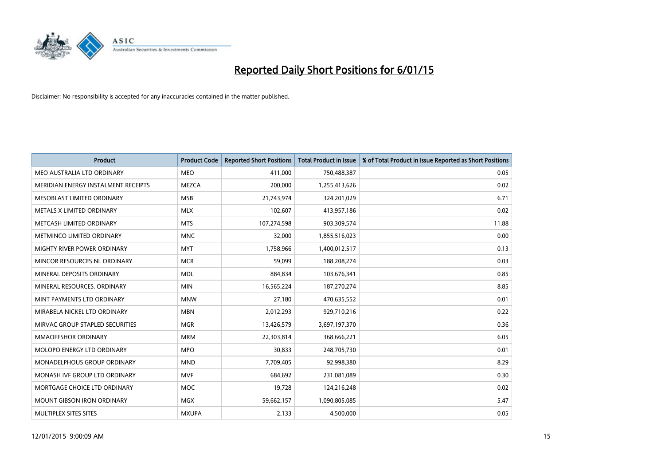

| <b>Product</b>                      | <b>Product Code</b> | <b>Reported Short Positions</b> | <b>Total Product in Issue</b> | % of Total Product in Issue Reported as Short Positions |
|-------------------------------------|---------------------|---------------------------------|-------------------------------|---------------------------------------------------------|
| MEO AUSTRALIA LTD ORDINARY          | <b>MEO</b>          | 411,000                         | 750,488,387                   | 0.05                                                    |
| MERIDIAN ENERGY INSTALMENT RECEIPTS | MEZCA               | 200,000                         | 1,255,413,626                 | 0.02                                                    |
| MESOBLAST LIMITED ORDINARY          | <b>MSB</b>          | 21,743,974                      | 324,201,029                   | 6.71                                                    |
| METALS X LIMITED ORDINARY           | <b>MLX</b>          | 102,607                         | 413,957,186                   | 0.02                                                    |
| METCASH LIMITED ORDINARY            | <b>MTS</b>          | 107,274,598                     | 903,309,574                   | 11.88                                                   |
| METMINCO LIMITED ORDINARY           | <b>MNC</b>          | 32,000                          | 1,855,516,023                 | 0.00                                                    |
| MIGHTY RIVER POWER ORDINARY         | <b>MYT</b>          | 1,758,966                       | 1,400,012,517                 | 0.13                                                    |
| MINCOR RESOURCES NL ORDINARY        | <b>MCR</b>          | 59,099                          | 188,208,274                   | 0.03                                                    |
| MINERAL DEPOSITS ORDINARY           | <b>MDL</b>          | 884,834                         | 103,676,341                   | 0.85                                                    |
| MINERAL RESOURCES, ORDINARY         | <b>MIN</b>          | 16,565,224                      | 187,270,274                   | 8.85                                                    |
| MINT PAYMENTS LTD ORDINARY          | <b>MNW</b>          | 27,180                          | 470,635,552                   | 0.01                                                    |
| MIRABELA NICKEL LTD ORDINARY        | <b>MBN</b>          | 2,012,293                       | 929,710,216                   | 0.22                                                    |
| MIRVAC GROUP STAPLED SECURITIES     | <b>MGR</b>          | 13,426,579                      | 3,697,197,370                 | 0.36                                                    |
| <b>MMAOFFSHOR ORDINARY</b>          | <b>MRM</b>          | 22,303,814                      | 368,666,221                   | 6.05                                                    |
| MOLOPO ENERGY LTD ORDINARY          | <b>MPO</b>          | 30,833                          | 248,705,730                   | 0.01                                                    |
| MONADELPHOUS GROUP ORDINARY         | <b>MND</b>          | 7,709,405                       | 92,998,380                    | 8.29                                                    |
| MONASH IVF GROUP LTD ORDINARY       | <b>MVF</b>          | 684,692                         | 231,081,089                   | 0.30                                                    |
| MORTGAGE CHOICE LTD ORDINARY        | <b>MOC</b>          | 19,728                          | 124,216,248                   | 0.02                                                    |
| <b>MOUNT GIBSON IRON ORDINARY</b>   | <b>MGX</b>          | 59,662,157                      | 1,090,805,085                 | 5.47                                                    |
| MULTIPLEX SITES SITES               | <b>MXUPA</b>        | 2,133                           | 4,500,000                     | 0.05                                                    |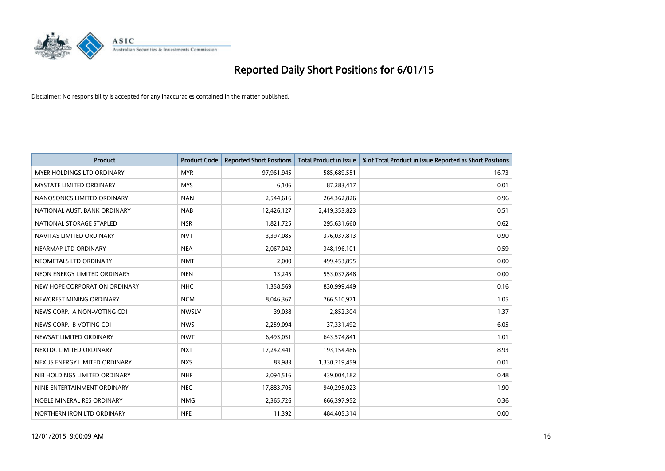

| <b>Product</b>                    | <b>Product Code</b> | <b>Reported Short Positions</b> | <b>Total Product in Issue</b> | % of Total Product in Issue Reported as Short Positions |
|-----------------------------------|---------------------|---------------------------------|-------------------------------|---------------------------------------------------------|
| <b>MYER HOLDINGS LTD ORDINARY</b> | <b>MYR</b>          | 97,961,945                      | 585,689,551                   | 16.73                                                   |
| MYSTATE LIMITED ORDINARY          | <b>MYS</b>          | 6,106                           | 87,283,417                    | 0.01                                                    |
| NANOSONICS LIMITED ORDINARY       | <b>NAN</b>          | 2,544,616                       | 264,362,826                   | 0.96                                                    |
| NATIONAL AUST, BANK ORDINARY      | <b>NAB</b>          | 12,426,127                      | 2,419,353,823                 | 0.51                                                    |
| NATIONAL STORAGE STAPLED          | <b>NSR</b>          | 1,821,725                       | 295,631,660                   | 0.62                                                    |
| NAVITAS LIMITED ORDINARY          | <b>NVT</b>          | 3,397,085                       | 376,037,813                   | 0.90                                                    |
| NEARMAP LTD ORDINARY              | <b>NEA</b>          | 2,067,042                       | 348,196,101                   | 0.59                                                    |
| NEOMETALS LTD ORDINARY            | <b>NMT</b>          | 2,000                           | 499,453,895                   | 0.00                                                    |
| NEON ENERGY LIMITED ORDINARY      | <b>NEN</b>          | 13,245                          | 553,037,848                   | 0.00                                                    |
| NEW HOPE CORPORATION ORDINARY     | <b>NHC</b>          | 1,358,569                       | 830,999,449                   | 0.16                                                    |
| NEWCREST MINING ORDINARY          | <b>NCM</b>          | 8,046,367                       | 766,510,971                   | 1.05                                                    |
| NEWS CORP A NON-VOTING CDI        | <b>NWSLV</b>        | 39,038                          | 2,852,304                     | 1.37                                                    |
| NEWS CORP B VOTING CDI            | <b>NWS</b>          | 2,259,094                       | 37,331,492                    | 6.05                                                    |
| NEWSAT LIMITED ORDINARY           | <b>NWT</b>          | 6,493,051                       | 643,574,841                   | 1.01                                                    |
| NEXTDC LIMITED ORDINARY           | <b>NXT</b>          | 17,242,441                      | 193,154,486                   | 8.93                                                    |
| NEXUS ENERGY LIMITED ORDINARY     | <b>NXS</b>          | 83,983                          | 1,330,219,459                 | 0.01                                                    |
| NIB HOLDINGS LIMITED ORDINARY     | <b>NHF</b>          | 2,094,516                       | 439,004,182                   | 0.48                                                    |
| NINE ENTERTAINMENT ORDINARY       | <b>NEC</b>          | 17,883,706                      | 940,295,023                   | 1.90                                                    |
| NOBLE MINERAL RES ORDINARY        | <b>NMG</b>          | 2,365,726                       | 666,397,952                   | 0.36                                                    |
| NORTHERN IRON LTD ORDINARY        | <b>NFE</b>          | 11,392                          | 484,405,314                   | 0.00                                                    |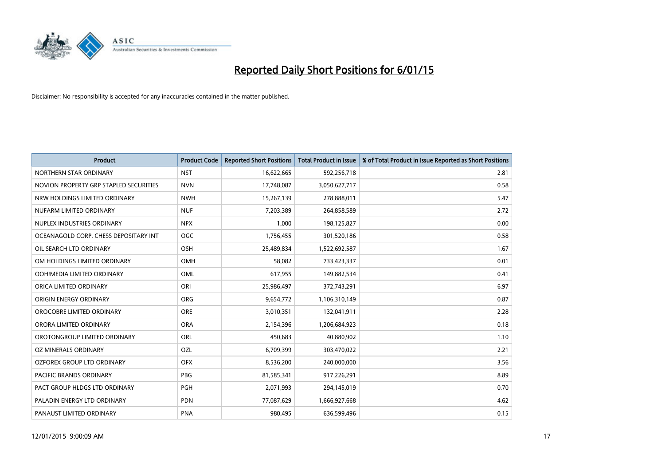

| <b>Product</b>                         | <b>Product Code</b> | <b>Reported Short Positions</b> | <b>Total Product in Issue</b> | % of Total Product in Issue Reported as Short Positions |
|----------------------------------------|---------------------|---------------------------------|-------------------------------|---------------------------------------------------------|
| NORTHERN STAR ORDINARY                 | <b>NST</b>          | 16,622,665                      | 592,256,718                   | 2.81                                                    |
| NOVION PROPERTY GRP STAPLED SECURITIES | <b>NVN</b>          | 17,748,087                      | 3,050,627,717                 | 0.58                                                    |
| NRW HOLDINGS LIMITED ORDINARY          | <b>NWH</b>          | 15,267,139                      | 278,888,011                   | 5.47                                                    |
| NUFARM LIMITED ORDINARY                | <b>NUF</b>          | 7,203,389                       | 264,858,589                   | 2.72                                                    |
| NUPLEX INDUSTRIES ORDINARY             | <b>NPX</b>          | 1,000                           | 198,125,827                   | 0.00                                                    |
| OCEANAGOLD CORP. CHESS DEPOSITARY INT  | <b>OGC</b>          | 1,756,455                       | 301,520,186                   | 0.58                                                    |
| OIL SEARCH LTD ORDINARY                | OSH                 | 25,489,834                      | 1,522,692,587                 | 1.67                                                    |
| OM HOLDINGS LIMITED ORDINARY           | OMH                 | 58,082                          | 733,423,337                   | 0.01                                                    |
| OOH!MEDIA LIMITED ORDINARY             | OML                 | 617,955                         | 149,882,534                   | 0.41                                                    |
| ORICA LIMITED ORDINARY                 | ORI                 | 25,986,497                      | 372,743,291                   | 6.97                                                    |
| ORIGIN ENERGY ORDINARY                 | <b>ORG</b>          | 9,654,772                       | 1,106,310,149                 | 0.87                                                    |
| OROCOBRE LIMITED ORDINARY              | <b>ORE</b>          | 3,010,351                       | 132,041,911                   | 2.28                                                    |
| ORORA LIMITED ORDINARY                 | <b>ORA</b>          | 2,154,396                       | 1,206,684,923                 | 0.18                                                    |
| OROTONGROUP LIMITED ORDINARY           | ORL                 | 450,683                         | 40,880,902                    | 1.10                                                    |
| OZ MINERALS ORDINARY                   | <b>OZL</b>          | 6,709,399                       | 303,470,022                   | 2.21                                                    |
| OZFOREX GROUP LTD ORDINARY             | <b>OFX</b>          | 8,536,200                       | 240,000,000                   | 3.56                                                    |
| PACIFIC BRANDS ORDINARY                | PBG                 | 81,585,341                      | 917,226,291                   | 8.89                                                    |
| PACT GROUP HLDGS LTD ORDINARY          | <b>PGH</b>          | 2,071,993                       | 294,145,019                   | 0.70                                                    |
| PALADIN ENERGY LTD ORDINARY            | <b>PDN</b>          | 77,087,629                      | 1,666,927,668                 | 4.62                                                    |
| PANAUST LIMITED ORDINARY               | <b>PNA</b>          | 980,495                         | 636,599,496                   | 0.15                                                    |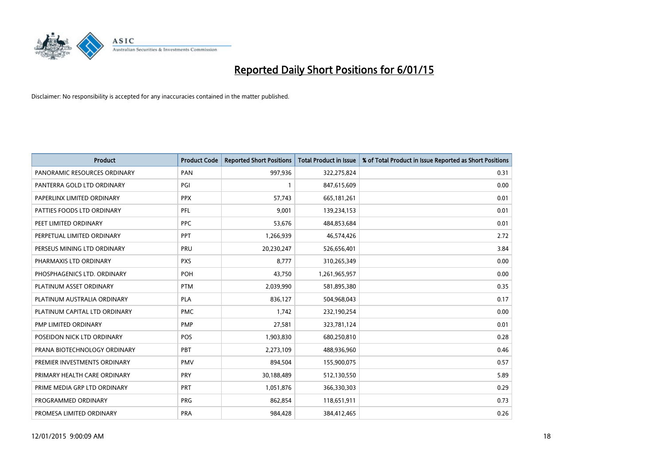

| <b>Product</b>                | <b>Product Code</b> | <b>Reported Short Positions</b> | <b>Total Product in Issue</b> | % of Total Product in Issue Reported as Short Positions |
|-------------------------------|---------------------|---------------------------------|-------------------------------|---------------------------------------------------------|
| PANORAMIC RESOURCES ORDINARY  | PAN                 | 997,936                         | 322,275,824                   | 0.31                                                    |
| PANTERRA GOLD LTD ORDINARY    | PGI                 | $\mathbf{1}$                    | 847,615,609                   | 0.00                                                    |
| PAPERLINX LIMITED ORDINARY    | <b>PPX</b>          | 57,743                          | 665, 181, 261                 | 0.01                                                    |
| PATTIES FOODS LTD ORDINARY    | <b>PFL</b>          | 9,001                           | 139,234,153                   | 0.01                                                    |
| PEET LIMITED ORDINARY         | <b>PPC</b>          | 53,676                          | 484,853,684                   | 0.01                                                    |
| PERPETUAL LIMITED ORDINARY    | PPT                 | 1,266,939                       | 46,574,426                    | 2.72                                                    |
| PERSEUS MINING LTD ORDINARY   | PRU                 | 20,230,247                      | 526,656,401                   | 3.84                                                    |
| PHARMAXIS LTD ORDINARY        | <b>PXS</b>          | 8,777                           | 310,265,349                   | 0.00                                                    |
| PHOSPHAGENICS LTD. ORDINARY   | POH                 | 43,750                          | 1,261,965,957                 | 0.00                                                    |
| PLATINUM ASSET ORDINARY       | <b>PTM</b>          | 2,039,990                       | 581,895,380                   | 0.35                                                    |
| PLATINUM AUSTRALIA ORDINARY   | PLA                 | 836,127                         | 504,968,043                   | 0.17                                                    |
| PLATINUM CAPITAL LTD ORDINARY | <b>PMC</b>          | 1,742                           | 232,190,254                   | 0.00                                                    |
| PMP LIMITED ORDINARY          | <b>PMP</b>          | 27,581                          | 323,781,124                   | 0.01                                                    |
| POSEIDON NICK LTD ORDINARY    | <b>POS</b>          | 1,903,830                       | 680,250,810                   | 0.28                                                    |
| PRANA BIOTECHNOLOGY ORDINARY  | PBT                 | 2,273,109                       | 488,936,960                   | 0.46                                                    |
| PREMIER INVESTMENTS ORDINARY  | <b>PMV</b>          | 894,504                         | 155,900,075                   | 0.57                                                    |
| PRIMARY HEALTH CARE ORDINARY  | <b>PRY</b>          | 30,188,489                      | 512,130,550                   | 5.89                                                    |
| PRIME MEDIA GRP LTD ORDINARY  | <b>PRT</b>          | 1,051,876                       | 366,330,303                   | 0.29                                                    |
| PROGRAMMED ORDINARY           | <b>PRG</b>          | 862,854                         | 118,651,911                   | 0.73                                                    |
| PROMESA LIMITED ORDINARY      | <b>PRA</b>          | 984,428                         | 384,412,465                   | 0.26                                                    |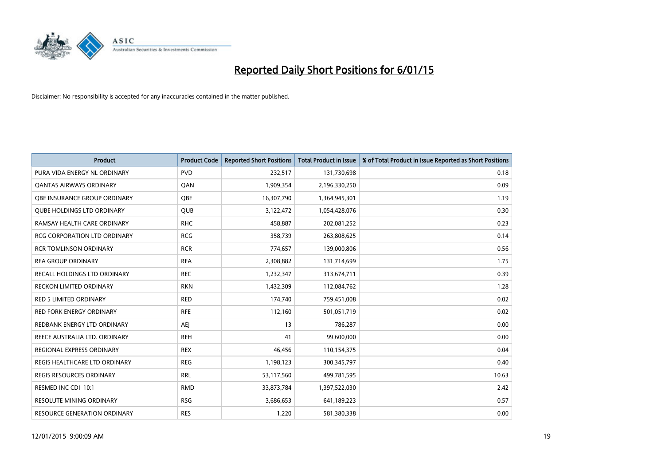

| <b>Product</b>                      | <b>Product Code</b> | <b>Reported Short Positions</b> | <b>Total Product in Issue</b> | % of Total Product in Issue Reported as Short Positions |
|-------------------------------------|---------------------|---------------------------------|-------------------------------|---------------------------------------------------------|
| PURA VIDA ENERGY NL ORDINARY        | <b>PVD</b>          | 232,517                         | 131,730,698                   | 0.18                                                    |
| <b>QANTAS AIRWAYS ORDINARY</b>      | QAN                 | 1,909,354                       | 2,196,330,250                 | 0.09                                                    |
| <b>OBE INSURANCE GROUP ORDINARY</b> | OBE                 | 16,307,790                      | 1,364,945,301                 | 1.19                                                    |
| <b>QUBE HOLDINGS LTD ORDINARY</b>   | QUB                 | 3,122,472                       | 1,054,428,076                 | 0.30                                                    |
| RAMSAY HEALTH CARE ORDINARY         | <b>RHC</b>          | 458,887                         | 202,081,252                   | 0.23                                                    |
| <b>RCG CORPORATION LTD ORDINARY</b> | <b>RCG</b>          | 358,739                         | 263,808,625                   | 0.14                                                    |
| <b>RCR TOMLINSON ORDINARY</b>       | <b>RCR</b>          | 774,657                         | 139,000,806                   | 0.56                                                    |
| <b>REA GROUP ORDINARY</b>           | <b>REA</b>          | 2,308,882                       | 131,714,699                   | 1.75                                                    |
| RECALL HOLDINGS LTD ORDINARY        | <b>REC</b>          | 1,232,347                       | 313,674,711                   | 0.39                                                    |
| <b>RECKON LIMITED ORDINARY</b>      | <b>RKN</b>          | 1,432,309                       | 112,084,762                   | 1.28                                                    |
| RED 5 LIMITED ORDINARY              | <b>RED</b>          | 174,740                         | 759,451,008                   | 0.02                                                    |
| <b>RED FORK ENERGY ORDINARY</b>     | <b>RFE</b>          | 112,160                         | 501,051,719                   | 0.02                                                    |
| REDBANK ENERGY LTD ORDINARY         | <b>AEI</b>          | 13                              | 786,287                       | 0.00                                                    |
| REECE AUSTRALIA LTD. ORDINARY       | <b>REH</b>          | 41                              | 99,600,000                    | 0.00                                                    |
| REGIONAL EXPRESS ORDINARY           | <b>REX</b>          | 46,456                          | 110,154,375                   | 0.04                                                    |
| REGIS HEALTHCARE LTD ORDINARY       | <b>REG</b>          | 1,198,123                       | 300, 345, 797                 | 0.40                                                    |
| REGIS RESOURCES ORDINARY            | <b>RRL</b>          | 53,117,560                      | 499,781,595                   | 10.63                                                   |
| RESMED INC CDI 10:1                 | <b>RMD</b>          | 33,873,784                      | 1,397,522,030                 | 2.42                                                    |
| <b>RESOLUTE MINING ORDINARY</b>     | <b>RSG</b>          | 3,686,653                       | 641,189,223                   | 0.57                                                    |
| RESOURCE GENERATION ORDINARY        | <b>RES</b>          | 1,220                           | 581,380,338                   | 0.00                                                    |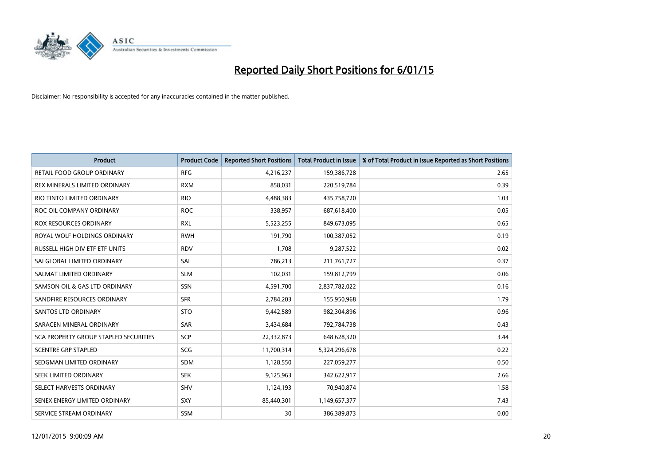

| <b>Product</b>                        | <b>Product Code</b> | <b>Reported Short Positions</b> | <b>Total Product in Issue</b> | % of Total Product in Issue Reported as Short Positions |
|---------------------------------------|---------------------|---------------------------------|-------------------------------|---------------------------------------------------------|
| <b>RETAIL FOOD GROUP ORDINARY</b>     | <b>RFG</b>          | 4,216,237                       | 159,386,728                   | 2.65                                                    |
| REX MINERALS LIMITED ORDINARY         | <b>RXM</b>          | 858,031                         | 220,519,784                   | 0.39                                                    |
| RIO TINTO LIMITED ORDINARY            | <b>RIO</b>          | 4,488,383                       | 435,758,720                   | 1.03                                                    |
| ROC OIL COMPANY ORDINARY              | <b>ROC</b>          | 338,957                         | 687,618,400                   | 0.05                                                    |
| <b>ROX RESOURCES ORDINARY</b>         | <b>RXL</b>          | 5,523,255                       | 849,673,095                   | 0.65                                                    |
| ROYAL WOLF HOLDINGS ORDINARY          | <b>RWH</b>          | 191,790                         | 100,387,052                   | 0.19                                                    |
| RUSSELL HIGH DIV ETF ETF UNITS        | <b>RDV</b>          | 1,708                           | 9,287,522                     | 0.02                                                    |
| SAI GLOBAL LIMITED ORDINARY           | SAI                 | 786,213                         | 211,761,727                   | 0.37                                                    |
| SALMAT LIMITED ORDINARY               | <b>SLM</b>          | 102,031                         | 159,812,799                   | 0.06                                                    |
| SAMSON OIL & GAS LTD ORDINARY         | <b>SSN</b>          | 4,591,700                       | 2,837,782,022                 | 0.16                                                    |
| SANDFIRE RESOURCES ORDINARY           | <b>SFR</b>          | 2,784,203                       | 155,950,968                   | 1.79                                                    |
| <b>SANTOS LTD ORDINARY</b>            | <b>STO</b>          | 9,442,589                       | 982,304,896                   | 0.96                                                    |
| SARACEN MINERAL ORDINARY              | SAR                 | 3,434,684                       | 792,784,738                   | 0.43                                                    |
| SCA PROPERTY GROUP STAPLED SECURITIES | <b>SCP</b>          | 22,332,873                      | 648,628,320                   | 3.44                                                    |
| <b>SCENTRE GRP STAPLED</b>            | SCG                 | 11,700,314                      | 5,324,296,678                 | 0.22                                                    |
| SEDGMAN LIMITED ORDINARY              | SDM                 | 1,128,550                       | 227,059,277                   | 0.50                                                    |
| SEEK LIMITED ORDINARY                 | <b>SEK</b>          | 9,125,963                       | 342,622,917                   | 2.66                                                    |
| SELECT HARVESTS ORDINARY              | <b>SHV</b>          | 1,124,193                       | 70,940,874                    | 1.58                                                    |
| SENEX ENERGY LIMITED ORDINARY         | <b>SXY</b>          | 85,440,301                      | 1,149,657,377                 | 7.43                                                    |
| SERVICE STREAM ORDINARY               | <b>SSM</b>          | 30                              | 386,389,873                   | 0.00                                                    |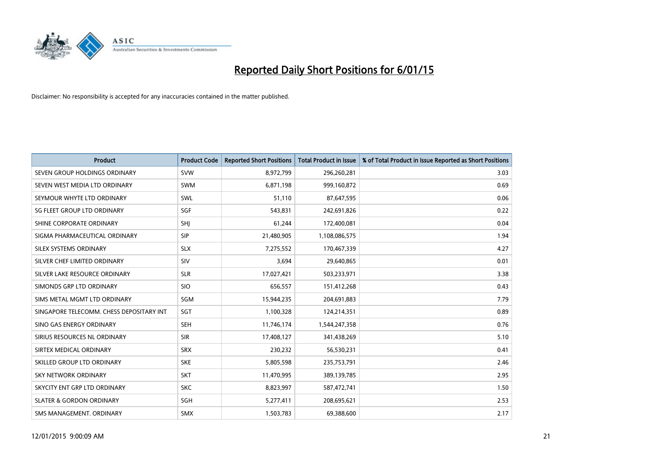

| <b>Product</b>                           | <b>Product Code</b> | <b>Reported Short Positions</b> | <b>Total Product in Issue</b> | % of Total Product in Issue Reported as Short Positions |
|------------------------------------------|---------------------|---------------------------------|-------------------------------|---------------------------------------------------------|
| SEVEN GROUP HOLDINGS ORDINARY            | <b>SVW</b>          | 8,972,799                       | 296,260,281                   | 3.03                                                    |
| SEVEN WEST MEDIA LTD ORDINARY            | <b>SWM</b>          | 6,871,198                       | 999,160,872                   | 0.69                                                    |
| SEYMOUR WHYTE LTD ORDINARY               | <b>SWL</b>          | 51,110                          | 87,647,595                    | 0.06                                                    |
| SG FLEET GROUP LTD ORDINARY              | SGF                 | 543,831                         | 242,691,826                   | 0.22                                                    |
| SHINE CORPORATE ORDINARY                 | SHI                 | 61,244                          | 172,400,081                   | 0.04                                                    |
| SIGMA PHARMACEUTICAL ORDINARY            | <b>SIP</b>          | 21,480,905                      | 1,108,086,575                 | 1.94                                                    |
| SILEX SYSTEMS ORDINARY                   | <b>SLX</b>          | 7,275,552                       | 170,467,339                   | 4.27                                                    |
| SILVER CHEF LIMITED ORDINARY             | SIV                 | 3,694                           | 29,640,865                    | 0.01                                                    |
| SILVER LAKE RESOURCE ORDINARY            | <b>SLR</b>          | 17,027,421                      | 503,233,971                   | 3.38                                                    |
| SIMONDS GRP LTD ORDINARY                 | <b>SIO</b>          | 656,557                         | 151,412,268                   | 0.43                                                    |
| SIMS METAL MGMT LTD ORDINARY             | SGM                 | 15,944,235                      | 204,691,883                   | 7.79                                                    |
| SINGAPORE TELECOMM. CHESS DEPOSITARY INT | SGT                 | 1,100,328                       | 124,214,351                   | 0.89                                                    |
| SINO GAS ENERGY ORDINARY                 | <b>SEH</b>          | 11,746,174                      | 1,544,247,358                 | 0.76                                                    |
| SIRIUS RESOURCES NL ORDINARY             | <b>SIR</b>          | 17,408,127                      | 341,438,269                   | 5.10                                                    |
| SIRTEX MEDICAL ORDINARY                  | <b>SRX</b>          | 230,232                         | 56,530,231                    | 0.41                                                    |
| SKILLED GROUP LTD ORDINARY               | <b>SKE</b>          | 5,805,598                       | 235,753,791                   | 2.46                                                    |
| SKY NETWORK ORDINARY                     | <b>SKT</b>          | 11,470,995                      | 389,139,785                   | 2.95                                                    |
| SKYCITY ENT GRP LTD ORDINARY             | <b>SKC</b>          | 8,823,997                       | 587,472,741                   | 1.50                                                    |
| <b>SLATER &amp; GORDON ORDINARY</b>      | SGH                 | 5,277,411                       | 208,695,621                   | 2.53                                                    |
| SMS MANAGEMENT. ORDINARY                 | <b>SMX</b>          | 1,503,783                       | 69,388,600                    | 2.17                                                    |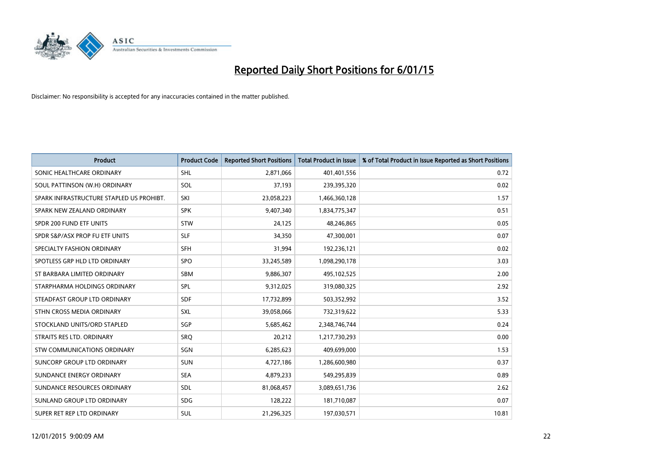

| <b>Product</b>                           | <b>Product Code</b> | <b>Reported Short Positions</b> | <b>Total Product in Issue</b> | % of Total Product in Issue Reported as Short Positions |
|------------------------------------------|---------------------|---------------------------------|-------------------------------|---------------------------------------------------------|
| SONIC HEALTHCARE ORDINARY                | <b>SHL</b>          | 2,871,066                       | 401,401,556                   | 0.72                                                    |
| SOUL PATTINSON (W.H) ORDINARY            | SOL                 | 37,193                          | 239,395,320                   | 0.02                                                    |
| SPARK INFRASTRUCTURE STAPLED US PROHIBT. | SKI                 | 23,058,223                      | 1,466,360,128                 | 1.57                                                    |
| SPARK NEW ZEALAND ORDINARY               | <b>SPK</b>          | 9,407,340                       | 1,834,775,347                 | 0.51                                                    |
| SPDR 200 FUND ETF UNITS                  | <b>STW</b>          | 24,125                          | 48,246,865                    | 0.05                                                    |
| SPDR S&P/ASX PROP FU ETF UNITS           | <b>SLF</b>          | 34,350                          | 47,300,001                    | 0.07                                                    |
| SPECIALTY FASHION ORDINARY               | SFH                 | 31,994                          | 192,236,121                   | 0.02                                                    |
| SPOTLESS GRP HLD LTD ORDINARY            | <b>SPO</b>          | 33,245,589                      | 1,098,290,178                 | 3.03                                                    |
| ST BARBARA LIMITED ORDINARY              | <b>SBM</b>          | 9,886,307                       | 495,102,525                   | 2.00                                                    |
| STARPHARMA HOLDINGS ORDINARY             | <b>SPL</b>          | 9,312,025                       | 319,080,325                   | 2.92                                                    |
| STEADFAST GROUP LTD ORDINARY             | <b>SDF</b>          | 17,732,899                      | 503,352,992                   | 3.52                                                    |
| STHN CROSS MEDIA ORDINARY                | <b>SXL</b>          | 39,058,066                      | 732,319,622                   | 5.33                                                    |
| STOCKLAND UNITS/ORD STAPLED              | SGP                 | 5,685,462                       | 2,348,746,744                 | 0.24                                                    |
| STRAITS RES LTD. ORDINARY                | SRO                 | 20,212                          | 1,217,730,293                 | 0.00                                                    |
| STW COMMUNICATIONS ORDINARY              | SGN                 | 6,285,623                       | 409,699,000                   | 1.53                                                    |
| SUNCORP GROUP LTD ORDINARY               | <b>SUN</b>          | 4,727,186                       | 1,286,600,980                 | 0.37                                                    |
| SUNDANCE ENERGY ORDINARY                 | <b>SEA</b>          | 4,879,233                       | 549,295,839                   | 0.89                                                    |
| SUNDANCE RESOURCES ORDINARY              | <b>SDL</b>          | 81,068,457                      | 3,089,651,736                 | 2.62                                                    |
| SUNLAND GROUP LTD ORDINARY               | <b>SDG</b>          | 128,222                         | 181,710,087                   | 0.07                                                    |
| SUPER RET REP LTD ORDINARY               | <b>SUL</b>          | 21,296,325                      | 197,030,571                   | 10.81                                                   |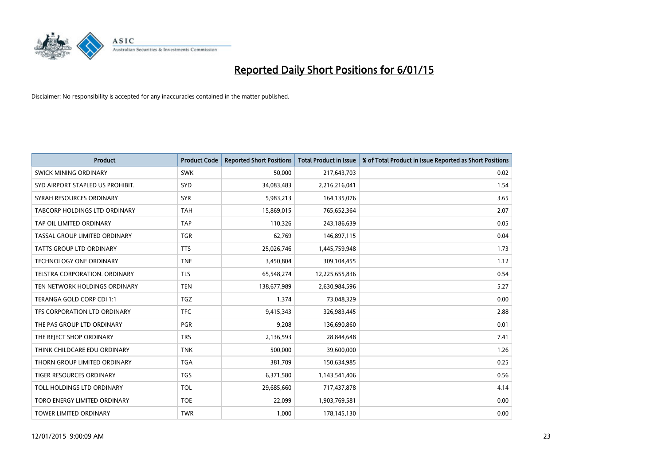

| <b>Product</b>                   | <b>Product Code</b> | <b>Reported Short Positions</b> | <b>Total Product in Issue</b> | % of Total Product in Issue Reported as Short Positions |
|----------------------------------|---------------------|---------------------------------|-------------------------------|---------------------------------------------------------|
| SWICK MINING ORDINARY            | <b>SWK</b>          | 50,000                          | 217,643,703                   | 0.02                                                    |
| SYD AIRPORT STAPLED US PROHIBIT. | <b>SYD</b>          | 34,083,483                      | 2,216,216,041                 | 1.54                                                    |
| SYRAH RESOURCES ORDINARY         | <b>SYR</b>          | 5,983,213                       | 164,135,076                   | 3.65                                                    |
| TABCORP HOLDINGS LTD ORDINARY    | <b>TAH</b>          | 15,869,015                      | 765,652,364                   | 2.07                                                    |
| TAP OIL LIMITED ORDINARY         | <b>TAP</b>          | 110,326                         | 243,186,639                   | 0.05                                                    |
| TASSAL GROUP LIMITED ORDINARY    | <b>TGR</b>          | 62,769                          | 146,897,115                   | 0.04                                                    |
| TATTS GROUP LTD ORDINARY         | <b>TTS</b>          | 25,026,746                      | 1,445,759,948                 | 1.73                                                    |
| TECHNOLOGY ONE ORDINARY          | <b>TNE</b>          | 3,450,804                       | 309,104,455                   | 1.12                                                    |
| TELSTRA CORPORATION, ORDINARY    | <b>TLS</b>          | 65,548,274                      | 12,225,655,836                | 0.54                                                    |
| TEN NETWORK HOLDINGS ORDINARY    | <b>TEN</b>          | 138,677,989                     | 2,630,984,596                 | 5.27                                                    |
| TERANGA GOLD CORP CDI 1:1        | <b>TGZ</b>          | 1,374                           | 73,048,329                    | 0.00                                                    |
| TFS CORPORATION LTD ORDINARY     | <b>TFC</b>          | 9,415,343                       | 326,983,445                   | 2.88                                                    |
| THE PAS GROUP LTD ORDINARY       | <b>PGR</b>          | 9,208                           | 136,690,860                   | 0.01                                                    |
| THE REJECT SHOP ORDINARY         | <b>TRS</b>          | 2,136,593                       | 28,844,648                    | 7.41                                                    |
| THINK CHILDCARE EDU ORDINARY     | <b>TNK</b>          | 500,000                         | 39,600,000                    | 1.26                                                    |
| THORN GROUP LIMITED ORDINARY     | <b>TGA</b>          | 381,709                         | 150,634,985                   | 0.25                                                    |
| TIGER RESOURCES ORDINARY         | TGS                 | 6,371,580                       | 1,143,541,406                 | 0.56                                                    |
| TOLL HOLDINGS LTD ORDINARY       | <b>TOL</b>          | 29,685,660                      | 717,437,878                   | 4.14                                                    |
| TORO ENERGY LIMITED ORDINARY     | <b>TOE</b>          | 22,099                          | 1,903,769,581                 | 0.00                                                    |
| <b>TOWER LIMITED ORDINARY</b>    | <b>TWR</b>          | 1,000                           | 178,145,130                   | 0.00                                                    |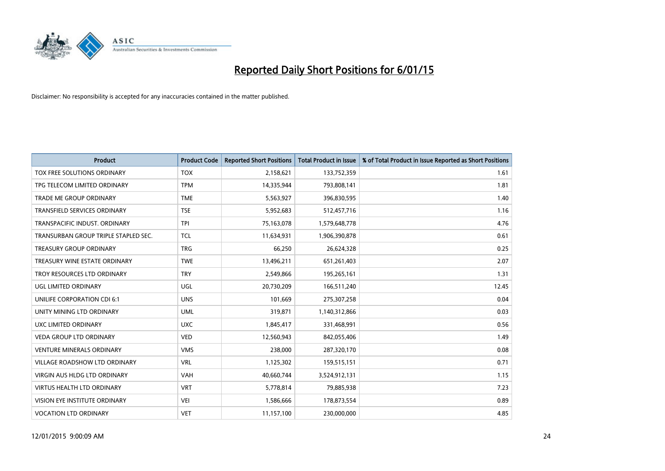

| <b>Product</b>                       | <b>Product Code</b> | <b>Reported Short Positions</b> | <b>Total Product in Issue</b> | % of Total Product in Issue Reported as Short Positions |
|--------------------------------------|---------------------|---------------------------------|-------------------------------|---------------------------------------------------------|
| TOX FREE SOLUTIONS ORDINARY          | <b>TOX</b>          | 2,158,621                       | 133,752,359                   | 1.61                                                    |
| TPG TELECOM LIMITED ORDINARY         | <b>TPM</b>          | 14,335,944                      | 793,808,141                   | 1.81                                                    |
| <b>TRADE ME GROUP ORDINARY</b>       | <b>TME</b>          | 5,563,927                       | 396,830,595                   | 1.40                                                    |
| TRANSFIELD SERVICES ORDINARY         | <b>TSE</b>          | 5,952,683                       | 512,457,716                   | 1.16                                                    |
| TRANSPACIFIC INDUST, ORDINARY        | <b>TPI</b>          | 75,163,078                      | 1,579,648,778                 | 4.76                                                    |
| TRANSURBAN GROUP TRIPLE STAPLED SEC. | <b>TCL</b>          | 11,634,931                      | 1,906,390,878                 | 0.61                                                    |
| <b>TREASURY GROUP ORDINARY</b>       | <b>TRG</b>          | 66,250                          | 26,624,328                    | 0.25                                                    |
| TREASURY WINE ESTATE ORDINARY        | <b>TWE</b>          | 13,496,211                      | 651,261,403                   | 2.07                                                    |
| TROY RESOURCES LTD ORDINARY          | <b>TRY</b>          | 2,549,866                       | 195,265,161                   | 1.31                                                    |
| UGL LIMITED ORDINARY                 | UGL                 | 20,730,209                      | 166,511,240                   | 12.45                                                   |
| UNILIFE CORPORATION CDI 6:1          | <b>UNS</b>          | 101,669                         | 275,307,258                   | 0.04                                                    |
| UNITY MINING LTD ORDINARY            | <b>UML</b>          | 319,871                         | 1,140,312,866                 | 0.03                                                    |
| UXC LIMITED ORDINARY                 | <b>UXC</b>          | 1,845,417                       | 331,468,991                   | 0.56                                                    |
| <b>VEDA GROUP LTD ORDINARY</b>       | <b>VED</b>          | 12,560,943                      | 842,055,406                   | 1.49                                                    |
| <b>VENTURE MINERALS ORDINARY</b>     | <b>VMS</b>          | 238,000                         | 287,320,170                   | 0.08                                                    |
| VILLAGE ROADSHOW LTD ORDINARY        | <b>VRL</b>          | 1,125,302                       | 159,515,151                   | 0.71                                                    |
| VIRGIN AUS HLDG LTD ORDINARY         | <b>VAH</b>          | 40,660,744                      | 3,524,912,131                 | 1.15                                                    |
| <b>VIRTUS HEALTH LTD ORDINARY</b>    | <b>VRT</b>          | 5,778,814                       | 79,885,938                    | 7.23                                                    |
| VISION EYE INSTITUTE ORDINARY        | <b>VEI</b>          | 1,586,666                       | 178,873,554                   | 0.89                                                    |
| <b>VOCATION LTD ORDINARY</b>         | <b>VET</b>          | 11,157,100                      | 230,000,000                   | 4.85                                                    |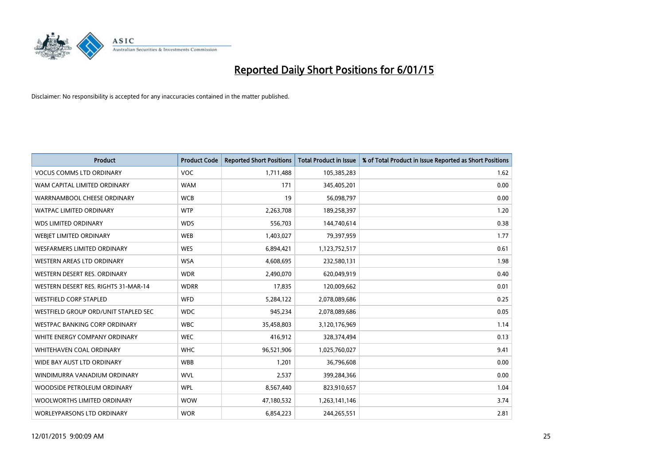

| <b>Product</b>                       | <b>Product Code</b> | <b>Reported Short Positions</b> | <b>Total Product in Issue</b> | % of Total Product in Issue Reported as Short Positions |
|--------------------------------------|---------------------|---------------------------------|-------------------------------|---------------------------------------------------------|
| <b>VOCUS COMMS LTD ORDINARY</b>      | <b>VOC</b>          | 1,711,488                       | 105,385,283                   | 1.62                                                    |
| WAM CAPITAL LIMITED ORDINARY         | <b>WAM</b>          | 171                             | 345,405,201                   | 0.00                                                    |
| WARRNAMBOOL CHEESE ORDINARY          | <b>WCB</b>          | 19                              | 56,098,797                    | 0.00                                                    |
| <b>WATPAC LIMITED ORDINARY</b>       | <b>WTP</b>          | 2,263,708                       | 189,258,397                   | 1.20                                                    |
| <b>WDS LIMITED ORDINARY</b>          | <b>WDS</b>          | 556,703                         | 144,740,614                   | 0.38                                                    |
| WEBIET LIMITED ORDINARY              | <b>WEB</b>          | 1,403,027                       | 79,397,959                    | 1.77                                                    |
| <b>WESFARMERS LIMITED ORDINARY</b>   | <b>WES</b>          | 6,894,421                       | 1,123,752,517                 | 0.61                                                    |
| WESTERN AREAS LTD ORDINARY           | <b>WSA</b>          | 4,608,695                       | 232,580,131                   | 1.98                                                    |
| WESTERN DESERT RES. ORDINARY         | <b>WDR</b>          | 2,490,070                       | 620,049,919                   | 0.40                                                    |
| WESTERN DESERT RES. RIGHTS 31-MAR-14 | <b>WDRR</b>         | 17,835                          | 120,009,662                   | 0.01                                                    |
| <b>WESTFIELD CORP STAPLED</b>        | <b>WFD</b>          | 5,284,122                       | 2,078,089,686                 | 0.25                                                    |
| WESTFIELD GROUP ORD/UNIT STAPLED SEC | <b>WDC</b>          | 945,234                         | 2,078,089,686                 | 0.05                                                    |
| WESTPAC BANKING CORP ORDINARY        | <b>WBC</b>          | 35,458,803                      | 3,120,176,969                 | 1.14                                                    |
| WHITE ENERGY COMPANY ORDINARY        | <b>WEC</b>          | 416,912                         | 328,374,494                   | 0.13                                                    |
| WHITEHAVEN COAL ORDINARY             | <b>WHC</b>          | 96,521,906                      | 1,025,760,027                 | 9.41                                                    |
| WIDE BAY AUST LTD ORDINARY           | <b>WBB</b>          | 1,201                           | 36,796,608                    | 0.00                                                    |
| WINDIMURRA VANADIUM ORDINARY         | <b>WVL</b>          | 2,537                           | 399,284,366                   | 0.00                                                    |
| WOODSIDE PETROLEUM ORDINARY          | <b>WPL</b>          | 8,567,440                       | 823,910,657                   | 1.04                                                    |
| WOOLWORTHS LIMITED ORDINARY          | <b>WOW</b>          | 47,180,532                      | 1,263,141,146                 | 3.74                                                    |
| WORLEYPARSONS LTD ORDINARY           | <b>WOR</b>          | 6,854,223                       | 244,265,551                   | 2.81                                                    |